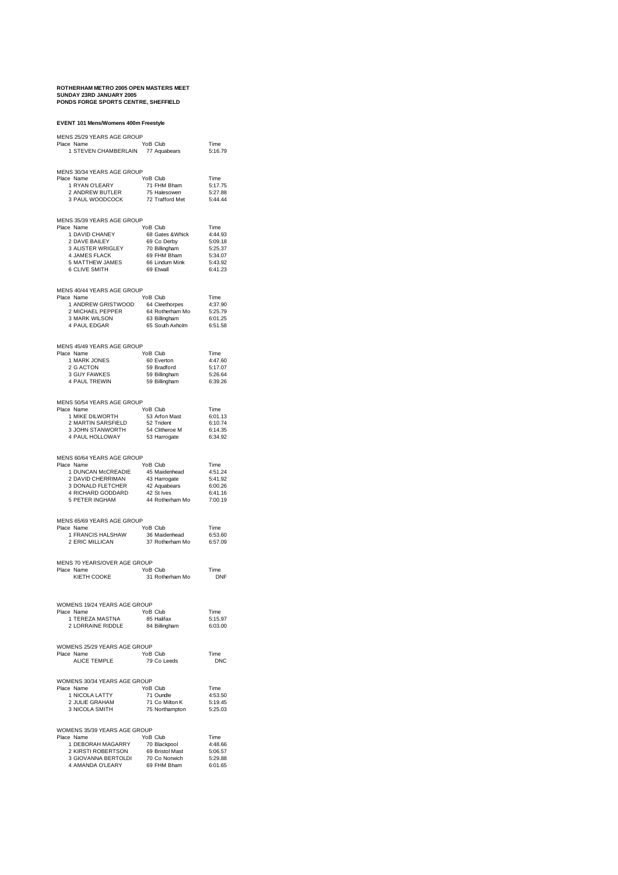# **ROTHERHAM METRO 2005 OPEN MASTERS MEET SUNDAY 23RD JANUARY 2005 PONDS FORGE SPORTS CENTRE, SHEFFIELD**

| EVENT 101 Mens/Womens 400m Freestyle                                                                                                                                                                                           |                                                                         |                    |
|--------------------------------------------------------------------------------------------------------------------------------------------------------------------------------------------------------------------------------|-------------------------------------------------------------------------|--------------------|
| MENS 25/29 YEARS AGE GROUP                                                                                                                                                                                                     |                                                                         |                    |
| Place Name                                                                                                                                                                                                                     | YoB Club                                                                | Time               |
| 1 STEVEN CHAMBERLAIN 77 Aquabears                                                                                                                                                                                              |                                                                         | 5:16.79            |
|                                                                                                                                                                                                                                |                                                                         |                    |
| MENS 30/34 YEARS AGE GROUP                                                                                                                                                                                                     |                                                                         |                    |
| Place Name                                                                                                                                                                                                                     | YoB Club                                                                | Time<br>5:17.75    |
|                                                                                                                                                                                                                                |                                                                         | 5:27.88            |
| e Name The Team<br>2 ANDREW BUTLER 75 Halesowen<br>3 PAUL WOODCOCK 72 Trafford Met                                                                                                                                             |                                                                         | 5:44.44            |
|                                                                                                                                                                                                                                |                                                                         |                    |
| MENS 35/39 YEARS AGE GROUP                                                                                                                                                                                                     |                                                                         |                    |
| Place Name                                                                                                                                                                                                                     | YoB Club                                                                | Time               |
|                                                                                                                                                                                                                                |                                                                         | 4:44.93            |
|                                                                                                                                                                                                                                |                                                                         | 5:09.18            |
|                                                                                                                                                                                                                                |                                                                         | 5:25.37<br>5:34.07 |
|                                                                                                                                                                                                                                |                                                                         | 5:43.92            |
| e name<br>1 DAVID CHANEY 68 Gates & Whick<br>1 DAVE BAILEY 69 Go Derby<br>3 ALISTER WRIGLEY 70 Billingham<br>4 JAMES FLACK<br>5 MATTHEW JAMES 66 Lindum Mink<br>6 CLIVE SMITH 69 Etwall                                        |                                                                         | 6:41.23            |
|                                                                                                                                                                                                                                |                                                                         |                    |
| MENS 40/44 YEARS AGE GROUP                                                                                                                                                                                                     |                                                                         |                    |
| Place Name                                                                                                                                                                                                                     |                                                                         | Time               |
|                                                                                                                                                                                                                                |                                                                         | 4:37.90<br>5:25.79 |
|                                                                                                                                                                                                                                |                                                                         | 6:01.25            |
| S 40/44 YEARS AGE GROUP<br>1 ANDREW GRISTWOOD 64 Cleethorpes<br>1 ANDREW GRISTWOOD 64 Rotherham Mo<br>2 MICHAEL PEPPER 64 Rotherham<br>3 MARK WILSON 63 Billingham<br>4 PAUL EDGAR 65 South Axholm                             |                                                                         | 6:51.58            |
|                                                                                                                                                                                                                                |                                                                         |                    |
| MENS 45/49 YEARS AGE GROUP                                                                                                                                                                                                     |                                                                         |                    |
| Place Name                                                                                                                                                                                                                     | YoB Club                                                                | Time               |
|                                                                                                                                                                                                                                |                                                                         | 4:47.60            |
|                                                                                                                                                                                                                                |                                                                         | 5:17.07<br>5:26.64 |
| ce Name<br>1 MARK JONES<br>2 G ACTON<br>3 GUY FAWKES<br>4 PAUL TREWIN<br>4 PAUL TREWIN                                                                                                                                         | YoB Club<br>60 Everton<br>59 Bradford<br>59 Billingham<br>59 Billingham | 6:39.26            |
|                                                                                                                                                                                                                                |                                                                         |                    |
|                                                                                                                                                                                                                                |                                                                         |                    |
| MENS 50/54 YEARS AGE GROUP<br>Place Name                                                                                                                                                                                       |                                                                         | Time               |
|                                                                                                                                                                                                                                |                                                                         | 6:01.13            |
|                                                                                                                                                                                                                                |                                                                         | 6:10.74            |
| PRIME TRANSPORT THE TRANSPORT OF THE STATE OF THE STATE OF THE STATE OF THE STATE OF THE STATE OF THE STATE OF THE STATE OF THE STATE OF THE STATE OF THE STATE OF THE STATE OF THE STATE OF THE STATE OF THE STATE OF THE STA |                                                                         | 6:14.35<br>6:34.92 |
|                                                                                                                                                                                                                                |                                                                         |                    |
|                                                                                                                                                                                                                                |                                                                         |                    |
| MENS 60/64 YEARS AGE GROUP<br>Place Name                                                                                                                                                                                       | YoB Club                                                                | Time               |
|                                                                                                                                                                                                                                |                                                                         | 4:51.24            |
|                                                                                                                                                                                                                                |                                                                         | 5:41.92            |
|                                                                                                                                                                                                                                |                                                                         | 6:00.26            |
| A TRIVINGAN MCCREADIE<br>1 DUNCAN MCCREADIE<br>2 DAVID CHERRIMAN<br>3 DONALD FLETCHER<br>42 Aquabears<br>4 RICHARD GODDARD<br>5 PETER INGHAM<br>5 PETER NGHAM<br>2 St lives<br>5 PETER INGHAM                                  | 44 Rotherham Mo                                                         | 6:41.16<br>7:00.19 |
|                                                                                                                                                                                                                                |                                                                         |                    |
|                                                                                                                                                                                                                                |                                                                         |                    |
| MENS 65/69 YEARS AGE GROUP<br>Place Name                                                                                                                                                                                       | YoB Club                                                                | Time               |
|                                                                                                                                                                                                                                | roB Club<br>36 Maidenhead<br>37 Rotherham Mo                            | 6:53.60            |
| 1 FRANCIS HALSHAW<br>2 ERIC MILLICAN                                                                                                                                                                                           |                                                                         | 6:57.09            |
|                                                                                                                                                                                                                                |                                                                         |                    |
| MENS 70 YEARS/OVER AGE GROUP                                                                                                                                                                                                   |                                                                         |                    |
| Place Name                                                                                                                                                                                                                     |                                                                         | Time               |
| KIETH COOKE                                                                                                                                                                                                                    | YoB Club<br>31 Roth<br>31 Rotherham Mo                                  | DNF                |
|                                                                                                                                                                                                                                |                                                                         |                    |
|                                                                                                                                                                                                                                |                                                                         |                    |
| WOMENS 19/24 YEARS AGE GROUP                                                                                                                                                                                                   |                                                                         |                    |
| Place Name<br>1 TEREZA MASTNA                                                                                                                                                                                                  | YoB Club<br>85 Halifax                                                  | Time<br>5:15.97    |
| 2 LORRAINE RIDDLE                                                                                                                                                                                                              | 84 Billingham                                                           | 6:03.00            |
|                                                                                                                                                                                                                                |                                                                         |                    |
|                                                                                                                                                                                                                                |                                                                         |                    |
| WOMENS 25/29 YEARS AGE GROUP<br>Place Name                                                                                                                                                                                     | YoB Club                                                                | Time               |
| ALICE TEMPLE                                                                                                                                                                                                                   | 79 Co Leeds                                                             | <b>DNC</b>         |
|                                                                                                                                                                                                                                |                                                                         |                    |
| WOMENS 30/34 YEARS AGE GROUP                                                                                                                                                                                                   |                                                                         |                    |
| Place Name                                                                                                                                                                                                                     | YoB Club                                                                | Time               |
| 1 NICOLA LATTY                                                                                                                                                                                                                 | 71 Oundle                                                               | 4:53.50            |
| 2 JULIE GRAHAM<br>3 NICOLA SMITH                                                                                                                                                                                               | 71 Co Milton K                                                          | 5:19.45            |
|                                                                                                                                                                                                                                | 75 Northampton                                                          | 5:25.03            |
|                                                                                                                                                                                                                                |                                                                         |                    |
| WOMENS 35/39 YEARS AGE GROUP                                                                                                                                                                                                   |                                                                         |                    |
| Place Name<br>1 DEBORAH MAGARRY                                                                                                                                                                                                | YoB Club<br>70 Blackpool                                                | Time<br>4:48.66    |
|                                                                                                                                                                                                                                | 69 Bristol Mast                                                         | 5:06.57            |
| …… RUBERTSON<br>3 GIOVANNA BERTOLDI<br>4 AMANDA O″ E                                                                                                                                                                           | 70 Co Norwich<br>69 FHM Bham                                            | 5:29.88            |
|                                                                                                                                                                                                                                |                                                                         | 6:01.65            |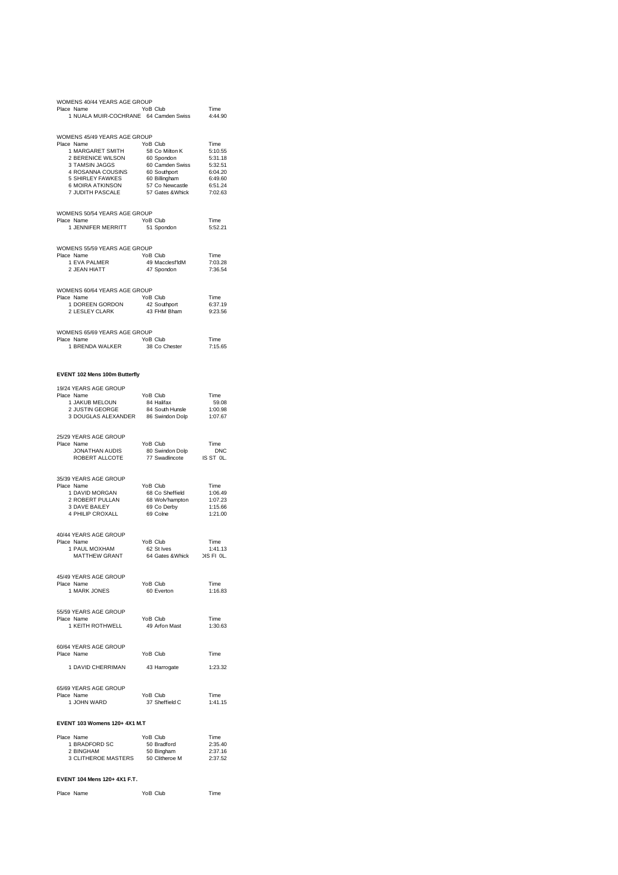| WOMENS 40/44 YEARS AGE GROUP<br>Place Name                                                                                                                                                                                                                                                                                                                  |          | YoB Club                                                         | Time                                             |
|-------------------------------------------------------------------------------------------------------------------------------------------------------------------------------------------------------------------------------------------------------------------------------------------------------------------------------------------------------------|----------|------------------------------------------------------------------|--------------------------------------------------|
| WOMENS 45/49 YEARS AGE GROUP<br>Place Name<br>1 MARGARET SMITH<br>2 BERENICE WILSON 60 Spondon<br>3 TAMSIN JAGGS 60 Camden Swiss<br>3 TAMSIN JAGGS<br>3 TAMSIN JAGGS<br>4 ROSANNA COUSINS 60 Scuttpen 6:31.18<br>5:32.51<br>5 SHIRLEY FAWKES 60 Southport<br>5 GIME 6:04.20<br>6 MOIRA ATKINSON 57 Co Newcastle<br>7 JUDITH PASCALE 57 Gates &Whick 7:02.63 |          | YoB Club                                                         | Time<br>5:10.55                                  |
| WOMENS 50/54 YEARS AGE GROUP<br>Place Name<br>1 JENNIFER MERRITT                                                                                                                                                                                                                                                                                            |          | YoB Club<br>51 Spondon                                           | Time<br>5:52.21                                  |
| WOMENS 55/59 YEARS AGE GROUP<br>Place Name<br>1 EVA PALMER<br>2 JEAN HIATT                                                                                                                                                                                                                                                                                  | YoB Club | 49 Macclesf'ldM<br>47 Spondon                                    | Time<br>7:03.28<br>7:36.54                       |
| WOMENS 60/64 YEARS AGE GROUP<br>Place Name<br><sup>9</sup> Name<br>1 DOREEN GORDON<br>2 LESLEY CLARK                                                                                                                                                                                                                                                        |          | YoB Club<br>YoB Club<br>42 Southport<br>43 FHM Bham              | Time<br>6:37.19<br>9:23.56                       |
| WOMENS 65/69 YEARS AGE GROUP<br>Place Name<br>1 BRENDA WALKER                                                                                                                                                                                                                                                                                               | YoB Club | 38 Co Chester                                                    | Time<br>7:15.65                                  |
| EVENT 102 Mens 100m Butterfly                                                                                                                                                                                                                                                                                                                               |          |                                                                  |                                                  |
| 19/24 YEARS AGE GROUP<br>Place Name<br>3 DOUGLAS ALEXANDER 86 Swindon Dolp                                                                                                                                                                                                                                                                                  |          | ծգ nailla∧<br>84 South Hunsle                                    | Time<br>59.08<br>$1:00.98$<br>$1:07.67$          |
| 25/29 YEARS AGE GROUP<br>Place Name<br>JONATHAN AUDIS<br>ROBERT ALLCOTE                                                                                                                                                                                                                                                                                     | YoB Club | YoB Club Time<br>80 Swindon Dolp DNC<br>77 Swadlincote IS ST 0L. | Time                                             |
| 35/39 YEARS AGE GROUP<br>Place Name<br>B IName<br>1 DAVID MORGAN<br>2 ROBERT PULLAN<br>3 DAVE BAILEY<br>4 PHILIP CROXALL                                                                                                                                                                                                                                    | YoB Club | 68 Co Sheffield<br>68 Wolv'hampton<br>69 Co Derby<br>69 Colne    | Time<br>1:06.49<br>1:07.23<br>1:15.66<br>1:21.00 |
| 40/44 YEARS AGE GROUP<br>Place Name<br>1 PAUL MOXHAM<br>MATTHEW GRANT                                                                                                                                                                                                                                                                                       |          | roB Club<br>62 St Ives<br>64 Gates & Whick DIS FI OL.            | Time<br>1:41.13                                  |
| 45/49 YEARS AGE GROUP<br>Place Name<br>1 MARK JONES                                                                                                                                                                                                                                                                                                         |          | YoB Club<br>60 Everton                                           | Time<br>1:16.83                                  |
| 55/59 YEARS AGE GROUP<br>Place Name<br>1 KEITH ROTHWELL                                                                                                                                                                                                                                                                                                     |          | YoB Club<br>49 Arfon Mast                                        | Time<br>1:30.63                                  |
| 60/64 YEARS AGE GROUP<br>Place Name                                                                                                                                                                                                                                                                                                                         |          | YoB Club                                                         | Time                                             |
| 1 DAVID CHERRIMAN                                                                                                                                                                                                                                                                                                                                           |          | 43 Harrogate                                                     | 1:23.32                                          |
| 65/69 YEARS AGE GROUP<br>Place Name<br>1 JOHN WARD                                                                                                                                                                                                                                                                                                          |          | YoB Club<br>37 Sheffield C                                       | Time<br>1:41.15                                  |
| EVENT 103 Womens 120+ 4X1 M.T                                                                                                                                                                                                                                                                                                                               |          |                                                                  |                                                  |
| Place Name<br>1 BRADFORD SC<br>2 BINGHAM<br>3 CLITHEROE MASTERS                                                                                                                                                                                                                                                                                             |          | YoB Club<br>50 Bradford<br>50 Bingham<br>50 Clitheroe M          | Time<br>2:35.40<br>2:37.16<br>2:37.52            |

## **EVENT 104 Mens 120+ 4X1 F.T.**

| Place Name |  |  | YoB Club | Time |
|------------|--|--|----------|------|
|------------|--|--|----------|------|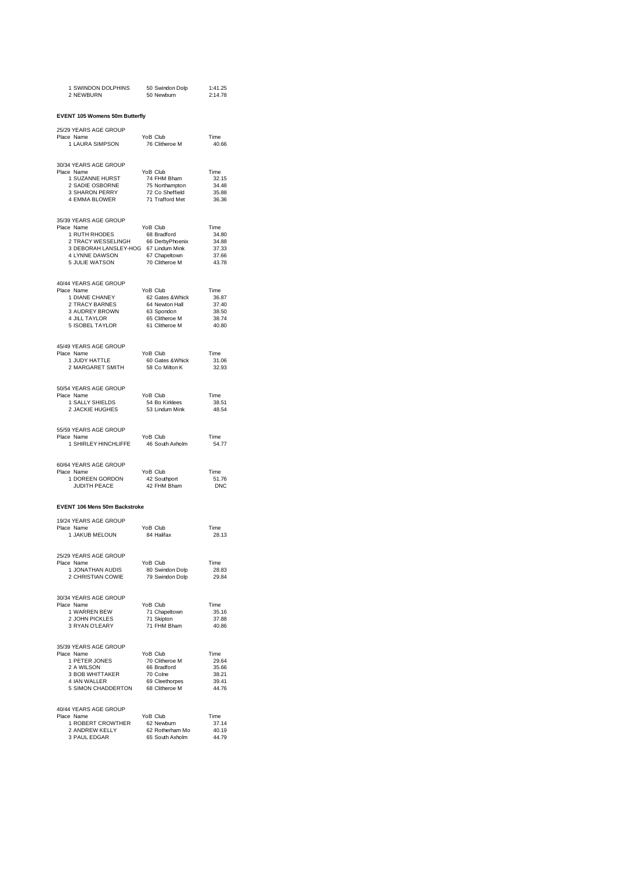| 1 SWINDON DOLPHINS 50 Swindon Dolp 1:41.25<br>2 NEWBURN 50 Newburn 2:14.78                                                                                                                                                             |                                                                 |                |
|----------------------------------------------------------------------------------------------------------------------------------------------------------------------------------------------------------------------------------------|-----------------------------------------------------------------|----------------|
| EVENT 105 Womens 50m Butterfly                                                                                                                                                                                                         |                                                                 |                |
| 25/29 YEARS AGE GROUP                                                                                                                                                                                                                  |                                                                 |                |
| Place Name<br>∈ ivame<br>1 LAURA SIMPSON                                                                                                                                                                                               | YoB Club<br>76 Clitheroe M                                      | Time<br>40.66  |
| 30/34 YEARS AGE GROUP<br>Place Name                                                                                                                                                                                                    | YoB Club                                                        | Time           |
|                                                                                                                                                                                                                                        |                                                                 | 32.15<br>34.48 |
|                                                                                                                                                                                                                                        |                                                                 | 35.88          |
| e Name<br>1 SUZANNE HURST 74 FHM Bham<br>2 SADIE OSBORNE 75 Northampton<br>3 SHARON PERRY 72 Co Sheffield<br>4 EMMA BLOWER 71 Trafford Met                                                                                             |                                                                 | 36.36          |
| 35/39 YEARS AGE GROUP                                                                                                                                                                                                                  |                                                                 |                |
| Place Name                                                                                                                                                                                                                             |                                                                 | Time<br>34.80  |
|                                                                                                                                                                                                                                        |                                                                 | 34.88          |
|                                                                                                                                                                                                                                        |                                                                 | 37.33<br>37.66 |
| Prime VoB Club<br>1 RUTH RHODES<br>1 RUTH RHODES<br>2 TRACY WESSELINGH 66 DerbyPhoenix<br>3 DEBORAH LANSLEY-HOG 67 Lindum Mink<br>4 LYNNE DAWSON 67 Chapeltown<br>5 JULIE WATSON 70 Clitheroe M                                        |                                                                 | 43.78          |
| 40/44 YEARS AGE GROUP                                                                                                                                                                                                                  |                                                                 |                |
| Place Name                                                                                                                                                                                                                             |                                                                 | Time<br>36.87  |
|                                                                                                                                                                                                                                        |                                                                 | 37.40          |
|                                                                                                                                                                                                                                        |                                                                 | 38.50<br>38.74 |
| 4 TEARS AND CHANNEY<br>1 DIANE CHANEY<br>1 DIANE CHANEY<br>2 TRACY BARNES<br>3 AUDREY BROWN<br>4 JILL TAYLOR<br>5 ISOBEL TAYLOR<br>5 SCHER CHANNER CONTROL CONTROL AT A SAUDREY AND A MILL TAYLOR<br>5 ISOBEL TAYLOR<br>61 Clitheroe M |                                                                 | 40.80          |
| 45/49 YEARS AGE GROUP<br>Place Name                                                                                                                                                                                                    |                                                                 |                |
| e Name<br>1 JUDY HATTLE<br>2 MARGARET SMITH                                                                                                                                                                                            | YoB Club Time<br>60 Gates & Whick 31.06<br>58 Co Milton K 32.93 |                |
|                                                                                                                                                                                                                                        |                                                                 |                |
| 50/54 YEARS AGE GROUP<br>Place Name<br>1 SALLY SHIELDS<br>2 JACKIE HUGHES                                                                                                                                                              | YoB Club                                                        | Time           |
|                                                                                                                                                                                                                                        | тов Club<br>54 Bo Kirklees<br>53 Lindum Mink                    | 38.51          |
|                                                                                                                                                                                                                                        |                                                                 | 48.54          |
| 55/59 YEARS AGE GROUP<br>Place Name                                                                                                                                                                                                    | YoB Club                                                        | Time           |
| 1 SHIRLEY HINCHLIFFE                                                                                                                                                                                                                   | 46 South Axholm                                                 | 54.77          |
| 60/64 YEARS AGE GROUP<br>Place Name                                                                                                                                                                                                    |                                                                 |                |
| 4 YEARS AGE GROUP<br>TO PARE AND READ TO A 42 Southport<br>TURITH PEACE 42 FHM Bham                                                                                                                                                    |                                                                 | Time<br>51.76  |
| JUDITH PEACE                                                                                                                                                                                                                           |                                                                 | <b>DNC</b>     |
| EVENT 106 Mens 50m Backstroke                                                                                                                                                                                                          |                                                                 |                |
| 19/24 YEARS AGE GROUP<br>Place Name                                                                                                                                                                                                    | YoB Club                                                        | Time           |
| e name<br>1 JAKUB MELOUN                                                                                                                                                                                                               | 84 Halifax                                                      | 28.13          |
| 25/29 YEARS AGE GROUP<br>Place Name                                                                                                                                                                                                    | YoB Club                                                        | Time           |
| 1 JONATHAN AUDIS                                                                                                                                                                                                                       | 80 Swindon Dolp                                                 | 28.83          |
| 1 JONA I HAN AUDIS<br>2 CHRISTIAN COWIE                                                                                                                                                                                                | 79 Swindon Dolp                                                 | 29.84          |
| 30/34 YEARS AGE GROUP<br>Place Name                                                                                                                                                                                                    | YoB Club                                                        | Time           |
| 1 WARREN BEW                                                                                                                                                                                                                           | 71 Chapeltown                                                   | 35.16          |
| 2 JOHN PICKLES<br>3 RYAN O'LEARY                                                                                                                                                                                                       | 71 Skipton<br>71 FHM Bham                                       | 37.88<br>40.86 |
|                                                                                                                                                                                                                                        |                                                                 |                |
| 35/39 YEARS AGE GROUP<br>Place Name                                                                                                                                                                                                    | YoB Club                                                        | Time           |
| 1 PETER JONES                                                                                                                                                                                                                          | 70 Clitheroe M                                                  | 29.64          |
| 2 A WILSON<br>3 BOB WHITTAKER                                                                                                                                                                                                          | 66 Bradford<br>70 Colpe<br>70 Colne                             | 35.66<br>38.21 |
| 4 IAN WALLER                                                                                                                                                                                                                           | 69 Cleethorpes                                                  | 39.41          |
| 5 SIMON CHADDERTON 68 Clitheroe M                                                                                                                                                                                                      |                                                                 | 44.76          |
| 40/44 YEARS AGE GROUP<br>Place Name                                                                                                                                                                                                    | YoB Club                                                        | Time           |
| 1 ROBERT CROWTHER                                                                                                                                                                                                                      | 62 Newburn                                                      | 37.14          |
| 2 ANDREW KELLY<br>3 PAUL EDGAR                                                                                                                                                                                                         | 62 Rotherham Mo<br>65 South Axholm                              | 40.19<br>44.79 |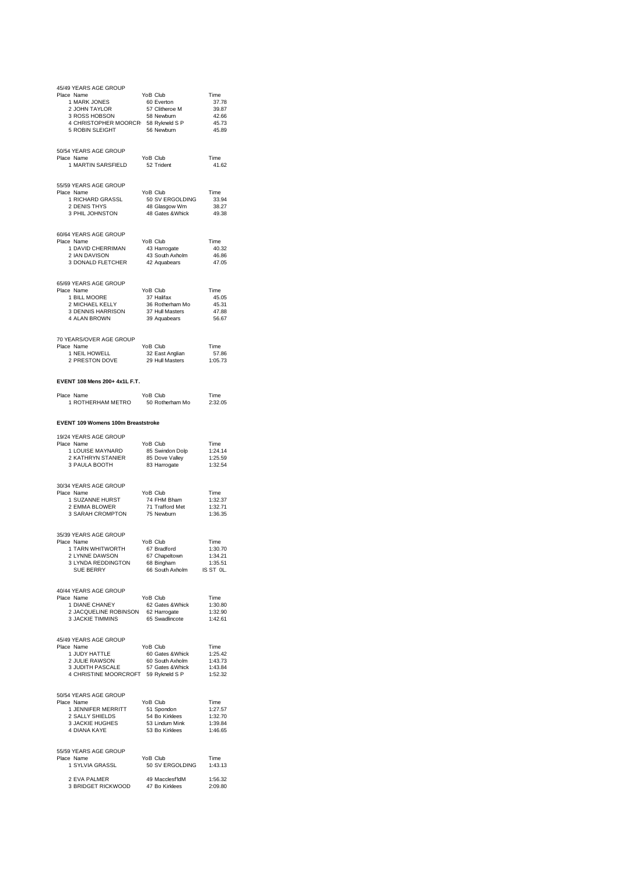| 45/49 YEARS AGE GROUP<br>Place Name<br>e Name<br>1 MARK JONES<br>2 JOHN TAYLOR<br>3 ROSS HOBSON<br>2 ROSS HOBSON<br>2 JOHN TAYLOR 57 Clitheroe M<br>3 ROSS HOBSON 58 Newburn<br>4 CHRISTOPHER MOORCR 58 Rykneld S P<br>5 ROBIN SLEIGHT 56 Newburn<br>5 ROBIN SLEIGHT | YoB Club<br>YoB Club<br>60 Everton<br>56 Newburn                                   | Time<br>37.78<br>39.87<br>42.66<br>45.73<br>45.89 |
|----------------------------------------------------------------------------------------------------------------------------------------------------------------------------------------------------------------------------------------------------------------------|------------------------------------------------------------------------------------|---------------------------------------------------|
| 50/54 YEARS AGE GROUP<br>Place Name<br>1 MARTIN SARSFIELD                                                                                                                                                                                                            | YoB Club<br>52 Trident                                                             | Time<br>41.62                                     |
| 55/59 YEARS AGE GROUP<br>Place Name<br>e Name<br>1 RICHARD GRASSL<br>2 DENIS THYS<br>3 PHIL JOHNSTON                                                                                                                                                                 | YoB Club<br>50 SV ERGOLDING 33.94<br>48 Glasgow Wm 38.27<br>48 Gates & Whick 49.38 | Time                                              |
| 60/64 YEARS AGE GROUP<br>Place Name<br>8 Ivanie<br>1 DAVID CHERRIMAN                                                                                                                                                                                                 | YoB Club                                                                           | Time<br>40.32<br>46.86<br>47.05                   |
| 65/69 YEARS AGE GROUP<br>Place Name<br>9 Name<br>1 BILL MOORE 37 Halifax<br>2 MICHAEL KELLY 36 Rotherham Mo<br>3 DENNIS HARRISON 37 Hull Masters<br>∴ Ni DENWIN 39 Aquabears<br>1 BILL MOORE                                                                         |                                                                                    | Time<br>45.05<br>45.31<br>47.88<br>56.67          |
| 70 YEARS/OVER AGE GROUP<br>Place Name<br>ਰ name<br>1 NEIL HOWELL<br>2 PRESTON DOVE                                                                                                                                                                                   | YoB Club<br>32 East Anglian<br>29 Hull Masters                                     | Time<br>57.86<br>1:05.73                          |
| EVENT 108 Mens 200+ 4x1L F.T.                                                                                                                                                                                                                                        |                                                                                    |                                                   |
| Place Name<br>1 ROTHERHAM METRO                                                                                                                                                                                                                                      | YoB Club<br>50 Rotherham Mo                                                        | Time<br>2:32.05                                   |
| EVENT 109 Womens 100m Breaststroke                                                                                                                                                                                                                                   |                                                                                    |                                                   |
| 19/24 YEARS AGE GROUP<br>Place Name<br>1 LOUISE MAYNARD<br>2 KATHRYN STANIER<br>2 KATHRYN STANIER<br>3 PAULA BOOTH                                                                                                                                                   | YoB Club<br>85 Swindon Dolp<br>°F Dove Valley<br>85 Dove Valley<br>83 Harrogate    | Time<br>1:24.14<br>1:25.59<br>1:32.54             |
| 30/34 YEARS AGE GROUP<br>Place Name<br>е Name<br>1 SUZANNE HURST 74 FHM Bham<br>2 FMMA BLOWER 71 Trafford Met<br>3 SARAH CROMPTON                                                                                                                                    | <br>75 Newburn                                                                     | Time<br>1:32.37<br>1:32.71<br>1:36.35             |
| 35/39 YEARS AGE GROUP<br>Place Name<br>1 TARN WHITWORTH 67 Bradford<br>2 J VNNE DAWSON 67 Changlious<br>1 Aniv Vietnam Control Control 2 LYNNE DAWSON 67 Chapeltown 1:34.21<br>3 LYNNA REDDINGTON 68 Bingham 1:35.51<br>SUE BERRY 66 South Axholm IS ST OL.          | YoB Club                                                                           | Time<br>1:30.70                                   |
| 40/44 YEARS AGE GROUP<br>Place Name<br>1 DIANE CHANEY<br>1 DIANE CHANEY<br>2 JACQUELINE ROBINSON 62 Harrogate<br>3 JACKIE TIMMINS 65 Swadlincote                                                                                                                     | YoB Club                                                                           | Time<br>1:30.80<br>1:32.90<br>1:42.61             |
| 45/49 YEARS AGE GROUP<br>Place Name<br>1 JUDY HATTLE<br>ישטרו HATTLE<br>2 JULIE RAWSON<br>3 JUDITH PACC<br>1 JUDY HATTLE<br>2 JULIE RAWSON 60 Sates & Whick<br>2 JUDITH PASCALE 67 Soluth Axholm 1143.73<br>4 CHRISTINE MOORCROFT 59 Rykneld S P 1:52.32             | YoB Club                                                                           | Time<br>1:25.42                                   |
| 50/54 YEARS AGE GROUP<br>Place Name<br>e Name<br>1 JENNIFER MERRITT 51 Spondon 127.57<br>2 SALLY SHIELDS 54 Bo Kirklees 1.32.70<br>2 SALLY SHIELDS 54 Bo Kirklees 3.3ACKIE HUGHES 53 Lindum Mink 1:39.84<br>4 DIANA KAYE 53 Bo Kirklees 1:46.65                      |                                                                                    |                                                   |
| 55/59 YEARS AGE GROUP<br>Place Name<br>1 SYLVIA GRASSL                                                                                                                                                                                                               | YoB Club<br>50 SV ERGOLDING                                                        | Time<br>1:43.13                                   |
| 2 EVA PALMER<br>3 BRIDGET RICKWOOD 47 Bo Kirklees                                                                                                                                                                                                                    | 49 Macclesf'ldM                                                                    | 1:56.32<br>2:09.80                                |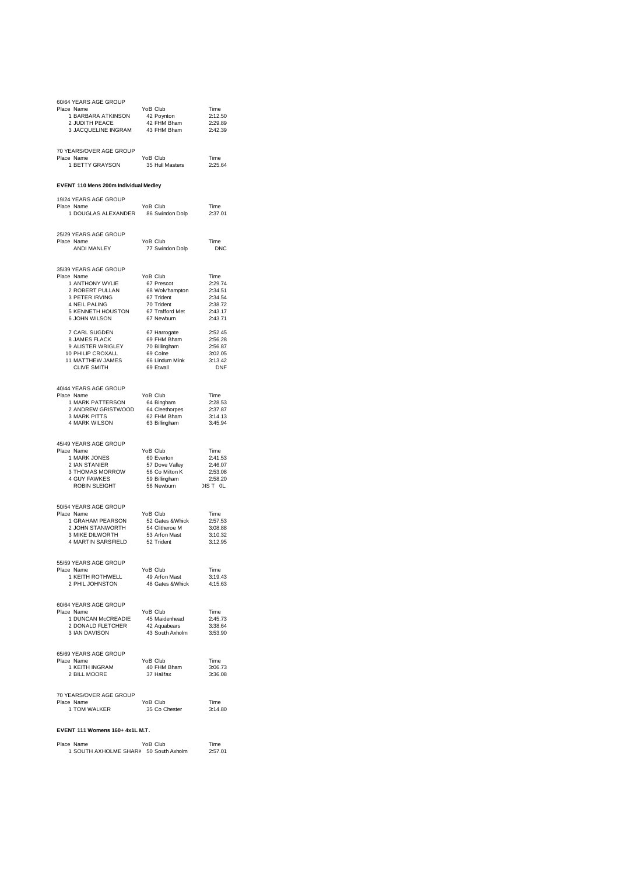| 60/64 YEARS AGE GROUP<br>Place Name<br>1 BARBARA ATKINSON<br>2 JUDITH PEACE<br>3 JACQUELINE INGRAM | YoB Club<br>$42$ Poynton<br>42 FHM Bham<br>43 FHM Bham           | Time<br>2:12.50<br>2:29.89<br>2:42.39 |
|----------------------------------------------------------------------------------------------------|------------------------------------------------------------------|---------------------------------------|
| 70 YEARS/OVER AGE GROUP<br>Place Name<br>1 BETTY GRAYSON                                           | YoB Club<br>35 Hull Masters                                      | Time<br>2:25.64                       |
| EVENT 110 Mens 200m Individual Medley                                                              |                                                                  |                                       |
| 19/24 YEARS AGE GROUP                                                                              |                                                                  |                                       |
| Place Name<br>1 DOUGLAS ALEXANDER 86 Swindon Dolp                                                  | YoB Club                                                         | Time<br>2:37.01                       |
| 25/29 YEARS AGE GROUP                                                                              |                                                                  |                                       |
| Place Name<br>ANDI MANLEY                                                                          | YoB Club<br>77 Swindon Dolp                                      | Time<br><b>DNC</b>                    |
| 35/39 YEARS AGE GROUP                                                                              |                                                                  |                                       |
| Place Name<br>1 ANTHONY WYLIE                                                                      | YoB Club<br>67 Prescot                                           | Time<br>2:29.74                       |
| 2 ROBERT PULLAN                                                                                    | 68 Wolv'hampton                                                  | 2:34.51                               |
| 3 PETER IRVING<br>4 NEIL PALING                                                                    | 67 Trident<br>70 Trident                                         | 2:34.54<br>2:38.72                    |
| 5 KENNETH HOUSTON                                                                                  | 67 Trafford Met                                                  | 2:43.17                               |
| 6 JOHN WILSON                                                                                      | 67 Newburn                                                       | 2:43.71                               |
| 7 CARL SUGDEN<br>8 JAMES FLACK                                                                     | 67 Harrogate<br>69 FHM Bham                                      | 2:52.45<br>2:56.28                    |
| 9 ALISTER WRIGLEY<br>10 PHILIP CROXALL<br>11 MATTHEW JAMES                                         | 70 Billingham                                                    | 2:56.87                               |
|                                                                                                    | 69 Colne<br>66 Lindum Mink                                       | 3:02.05<br>3:13.42                    |
| <b>CLIVE SMITH</b>                                                                                 | 69 Etwall                                                        | <b>DNF</b>                            |
| 40/44 YEARS AGE GROUP                                                                              |                                                                  |                                       |
| Place Name                                                                                         | YoB Club                                                         | Time                                  |
| 1 MARK PATTERSON<br>2 ANDREW GRISTWOOD                                                             | 64 Bingham<br>64 Cleethorpes                                     | 2:28.53<br>2:37.87                    |
| <b>3 MARK PITTS</b>                                                                                | 62 FHM Bham                                                      | 3:14.13                               |
| 4 MARK WILSON                                                                                      | 63 Billingham                                                    | 3:45.94                               |
| 45/49 YEARS AGE GROUP                                                                              |                                                                  |                                       |
| Place Name                                                                                         | YoB Club<br>$60$ Everton                                         | Time                                  |
| 1 MARK JONES<br>2 IAN STANIER                                                                      | 57 Dove Valley                                                   | 2:41.53<br>2:46.07                    |
| 3 THOMAS MORROW<br>4 GUY FAWKES                                                                    | 56 Co Milton K<br>59 Billingham                                  | 2:53.08                               |
| <b>ROBIN SLEIGHT</b>                                                                               | 56 Newburn                                                       | 2:58.20<br>DIS T OL.                  |
|                                                                                                    |                                                                  |                                       |
| 50/54 YEARS AGE GROUP<br>Place Name                                                                | YoB Club                                                         | Time                                  |
| 1 GRAHAM PEARSON<br>2 JOHN STANWORTH                                                               | 52 Gates & Whick<br>54 Clitheroe M                               | 2:57.53                               |
| 3 MIKE DILWORTH                                                                                    | 53 Arfon Mast                                                    | 3:08.88<br>3:10.32                    |
| 4 MARTIN SARSFIELD                                                                                 | 52 Trident                                                       | 3:12.95                               |
| 55/59 YEARS AGE GROUP                                                                              |                                                                  |                                       |
| Place Name                                                                                         | YoB Club<br>49 Arfon Mast                                        | Time                                  |
| 1 KEITH ROTHWELL<br>2 PHIL JOHNSTON                                                                | 48 Gates & Whick                                                 | 3:19.43<br>4:15.63                    |
|                                                                                                    |                                                                  |                                       |
| 60/64 YEARS AGE GROUP<br>Place Name                                                                | YoB Club                                                         | Time                                  |
|                                                                                                    |                                                                  |                                       |
| 3 IAN DAVISON                                                                                      | 45 Maidenhead<br>42 Aquabears 3:38.64<br>43 South Axholm 3:53.90 |                                       |
|                                                                                                    |                                                                  |                                       |
| 65/69 YEARS AGE GROUP<br>Place Name                                                                | YoB Club                                                         | Time                                  |
| 1 KEITH INGRAM                                                                                     | 40 FHM Bham                                                      | 3:06.73                               |
| AM CHE NOORE                                                                                       | 37 Halifax                                                       | 3:36.08                               |
| 70 YEARS/OVER AGE GROUP                                                                            |                                                                  |                                       |
| Place Name<br>1 TOM WALKER                                                                         | YoB Club<br>35 Co Chester                                        | Time<br>3:14.80                       |
|                                                                                                    |                                                                  |                                       |
| EVENT 111 Womens 160+ 4x1L M.T.                                                                    |                                                                  |                                       |

| Place Name            | YoB Club        | Time    |
|-----------------------|-----------------|---------|
| 1 SOUTH AXHOLME SHARI | 50 South Axholm | 2:57.01 |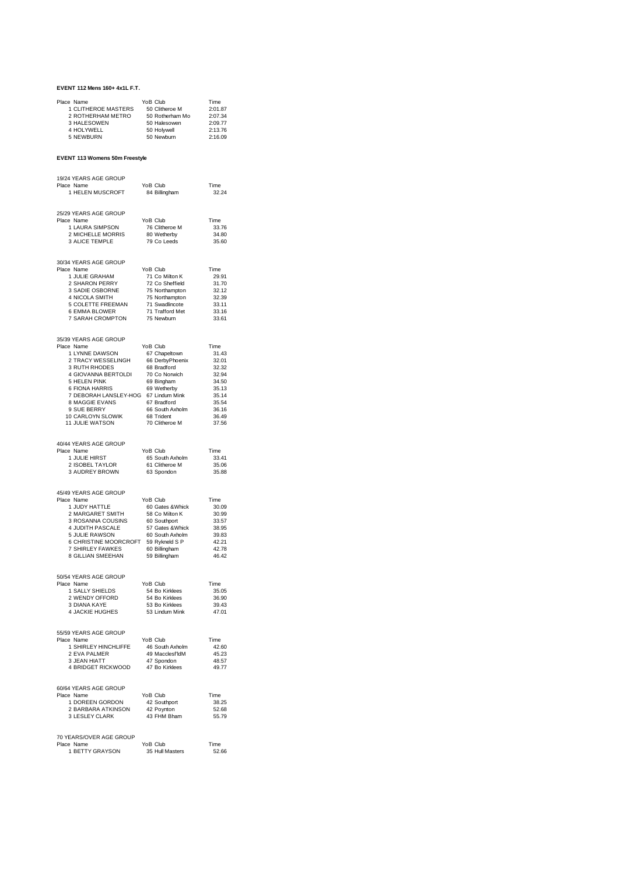#### **EVENT 112 Mens 160+ 4x1L F.T.**

| Place Name          | YoB Club        | Time    |
|---------------------|-----------------|---------|
| 1 CLITHEROE MASTERS | 50 Clitheroe M  | 2:01.87 |
| 2 ROTHERHAM METRO   | 50 Rotherham Mo | 2:07.34 |
| 3 HALESOWEN         | 50 Halesowen    | 2:09.77 |
| 4 HOLYWELL          | 50 Holvwell     | 2:13.76 |
| 5 NEWBURN           | 50 Newburn      | 2:16.09 |

## **EVENT 113 Womens 50m Freestyle**

| 19/24 YEARS AGE GROUP                                                                                                   |                                                             |                |
|-------------------------------------------------------------------------------------------------------------------------|-------------------------------------------------------------|----------------|
| Place Name                                                                                                              | YoB Club                                                    | Time           |
| 1 HELEN MUSCROFT                                                                                                        | 84 Billingham                                               | 32.24          |
|                                                                                                                         |                                                             |                |
|                                                                                                                         |                                                             |                |
| 25/29 YEARS AGE GROUP                                                                                                   | YoB Club                                                    |                |
| Place Name<br>1 LAURA SIMPSON                                                                                           |                                                             | Time<br>33.76  |
| 2 MICHELLE MORRIS                                                                                                       | 76 Clitheroe M<br>80 Wetherby                               | 34.80          |
| 3 ALICE TEMPLE                                                                                                          | 79 Co Leeds                                                 | 35.60          |
|                                                                                                                         |                                                             |                |
|                                                                                                                         |                                                             |                |
| 30/34 YEARS AGE GROUP                                                                                                   |                                                             |                |
| Place Name                                                                                                              | YoB Club                                                    | Time           |
| 1 JULIE GRAHAM                                                                                                          | 71 Co Milton K<br>72 Co Sheffield                           | 29.91          |
| 2 SHARON PERRY                                                                                                          |                                                             | 31.70          |
| 3 SADIE OSBORNE                                                                                                         |                                                             | 32.12          |
| 4 NICOLA SMITH<br>4 NICOLA SMITH 75 Northampton<br>5 COLETTE FREEMAN 71 Swadlincote<br>6 EMMA BLOWER 71 Trofford Mot    | 75 Northampton<br>75 Northampton<br>71 Swadlincote          | 32.39<br>33.11 |
| 6 EMMA BLOWER                                                                                                           | 71 Trafford Met                                             | 33.16          |
| 7 SARAH CROMPTON 75 Newburn                                                                                             |                                                             | 33.61          |
|                                                                                                                         |                                                             |                |
|                                                                                                                         |                                                             |                |
| 35/39 YEARS AGE GROUP                                                                                                   |                                                             |                |
| Place Name                                                                                                              |                                                             | Time           |
| 1 LYNNE DAWSON                                                                                                          |                                                             | 31.43          |
| 2 TRACY WESSELINGH                                                                                                      | YoB Club<br>67 Chapeltown<br>66 DerbyPhoenix<br>20 Pradford | 32.01          |
| 3 RUTH RHODES                                                                                                           |                                                             | 32.32          |
| 3 GIOVANNA BERTOLDI 70 Co Norwich<br>5 HELEN PINK<br>6 FIONA HARRIS 69 Wetherby<br>7 DEBORAH LANSLEY-HOG 67 Lindum Mink |                                                             | 32.94<br>34.50 |
|                                                                                                                         |                                                             | 35.13          |
|                                                                                                                         |                                                             | 35.14          |
| 8 MAGGIE EVANS 67 Bradford                                                                                              |                                                             | 35.54          |
| 9 SUE BERRY                                                                                                             | יס<br>66 South Axholm                                       | 36.16          |
| 10 CARLOYN SLOWIK                                                                                                       | 68 Trident                                                  | 36.49          |
| <b>11 JULIE WATSON</b>                                                                                                  | 70 Clitheroe M                                              | 37.56          |
|                                                                                                                         |                                                             |                |
|                                                                                                                         |                                                             |                |
| 40/44 YEARS AGE GROUP                                                                                                   |                                                             |                |
| Place Name<br>1 JULIE HIRST                                                                                             | YoB Club                                                    | Time<br>33.41  |
|                                                                                                                         |                                                             | 35.06          |
| 1 JULIE HIRST<br>2 ISOBEL TAYLOR<br>3 AUDREY BROWN                                                                      | 65 South Axholm<br>61 Clitheroe M<br>63 Spondon             | 35.88          |
|                                                                                                                         |                                                             |                |
|                                                                                                                         |                                                             |                |
| 45/49 YEARS AGE GROUP                                                                                                   |                                                             |                |
| Place Name                                                                                                              | YoB Club                                                    | Time           |
| 1 JUDY HATTLE                                                                                                           | 60 Gates & Whick                                            | 30.09          |
| 2 MARGARET SMITH                                                                                                        | 58 Co Milton K                                              | 30.99          |
| 3 ROSANNA COUSINS                                                                                                       | 60 Southport<br>57 Gates & Whick                            | 33.57          |
| 4 JUDITH PASCALE                                                                                                        |                                                             | 38.95          |
| 4 JUDITE RAWSTAL<br>5 JULIE RAWSON<br>6 CHRISTINE MOORCROFT 59 Rykneld S P<br>7 CLIDI EV FAMKES 60 Billingham           |                                                             | 39.83<br>42.21 |
| 7 SHIRLEY FAWKES 60 Billingham                                                                                          |                                                             | 42.78          |
| 8 GILLIAN SMEEHAN 59 Billingham                                                                                         |                                                             | 46.42          |
|                                                                                                                         |                                                             |                |
|                                                                                                                         |                                                             |                |
| 50/54 YEARS AGE GROUP                                                                                                   |                                                             |                |
| Place Name                                                                                                              | YoB Club                                                    | Time           |
| 1 SALLY SHIELDS                                                                                                         |                                                             | 35.05          |
| 1 SALLY SHIELDS<br>2 WENDY OFFORD<br>3 DIAMA KAYE                                                                       | 54 Bo Kirklees<br>54 Bo Kirklees<br>53 Bo Kirklees          | 36.90          |
| 3 DIANA KAYE                                                                                                            |                                                             | 39.43          |
| 4 JACKIE HUGHES                                                                                                         | 53 Lindum Mink                                              | 47.01          |
|                                                                                                                         |                                                             |                |
| 55/59 YEARS AGE GROUP                                                                                                   |                                                             |                |
| Place Name                                                                                                              | YoB Club                                                    | Time           |
| 1 SHIRLEY HINCHLIFFE                                                                                                    | 46 South Axholm                                             | 42.60          |
| 2 EVA PALMER                                                                                                            | 49 Macclesf'ldM                                             | 45.23          |
| 3 JEAN HIATT                                                                                                            | 47 Spondon                                                  | 48.57          |
| 4 BRIDGET RICKWOOD                                                                                                      | 47 Bo Kirklees                                              | 49.77          |
|                                                                                                                         |                                                             |                |
|                                                                                                                         |                                                             |                |
| 60/64 YEARS AGE GROUP<br>Place Name                                                                                     | YoB Club                                                    |                |
| 1 DOREEN GORDON                                                                                                         | 42 Southport                                                | Time<br>38.25  |
| 2 BARBARA ATKINSON                                                                                                      | 42 Poynton                                                  | 52.68          |
| 3 LESLEY CLARK                                                                                                          | 43 FHM Bham                                                 | 55.79          |
|                                                                                                                         |                                                             |                |
|                                                                                                                         |                                                             |                |
| 70 YEARS/OVER AGE GROUP                                                                                                 |                                                             |                |
| Place Name                                                                                                              | YoB Club                                                    | Time           |
| 1 BETTY GRAYSON                                                                                                         | 35 Hull Masters                                             | 52.66          |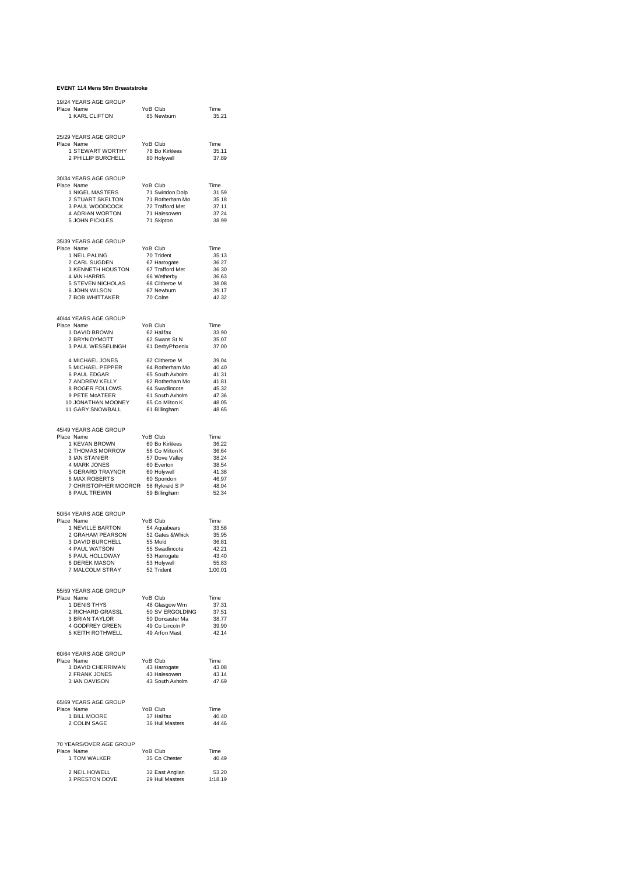#### **EVENT 114 Mens 50m Breaststroke**

| 19/24 YEARS AGE GROUP<br>Place Name<br>1 KARL CLIFTON                                                                                                                                                                                                                                    | YoB Club<br>85 Newburn                                                                                                                  | Time<br>35.21                                                                |
|------------------------------------------------------------------------------------------------------------------------------------------------------------------------------------------------------------------------------------------------------------------------------------------|-----------------------------------------------------------------------------------------------------------------------------------------|------------------------------------------------------------------------------|
| 25/29 YEARS AGE GROUP<br>Place Name<br>1 STEWART WORTHY<br>2 PHILLIP BURCHELL                                                                                                                                                                                                            | YoB Club<br>78 Bo Kirklees<br>80 Holywell                                                                                               | Time<br>35.11<br>37.89                                                       |
| 30/34 YEARS AGE GROUP<br>Place Name<br>1 NIGEL MASTERS<br>1 NIGEL MASTERS<br>2 STUART SKELTON<br>3 PAUL WOODCOCK<br>4 ADRIAN WORTON<br>5 JOUN RIGHTS<br>5 JOHN PICKLES                                                                                                                   | YoB Club<br>27 Swindon Dolp<br>71 Rotherham Mo<br>72 Trafford Met<br>71 Halesowen<br>71 Skinton<br>71 Skipton                           | Time<br>31.59<br>35.18<br>37.11<br>37.24<br>38.99                            |
| 35/39 YEARS AGE GROUP<br>Place Name<br>1 NEIL PALING 70 Trident<br>2 CARL SUGDEN 67 Harrogate<br>3 KENNETH HOUSTON 67 Trafford Met<br>4 IAN HARRIS 66 Warborbur<br><b>4 IAIN HANNIG</b><br>5 STEVEN NICHOLAS<br>6 JOHN WILSON<br>7 BOB WHITTAKER                                         | YoB Club<br>66 Wetherby<br>68 Clitheroe M<br>67 Newburn<br>70 Colne                                                                     | Time<br>35.13<br>36.27<br>36.30<br>36.63<br>38.08<br>39.17<br>42.32          |
| 40/44 YEARS AGE GROUP<br>Place Name<br>1 DAVID BROWN<br>2 BRYN DYMOTT<br><b>2 BRIN BIMOTI</b><br>3 PAUL WESSELINGH                                                                                                                                                                       | YoB Club<br>62 Halifax<br>62 Swans St N<br>61 DerbyPhoenix                                                                              | Time<br>33.90<br>35.07<br>37.00                                              |
| 4 MICHAEL JONES 62 Clitheroe M<br>5 MICHAEL PEPPER 64 Rotherham Mo<br>6 PAUL EDGAR 65 South Axholm<br>7 ANDREW KELLY 62 Rotherham Mo<br>8 ROGER FOLLOWS 64 Swadincote<br>9 PETE McATEER 61 South Axholm<br>10 JONATHAN MOONEY 65 Co Milton<br>11 GARY SNOWBALL                           | 61 Billingham                                                                                                                           | 39.04<br>40.40<br>41.31<br>41.81<br>45.32<br>47.36<br>48.05<br>48.65         |
| 45/49 YEARS AGE GROUP<br>Place Name<br>1 KEVAN BROWN<br>2 THOMAS MORROW 60 Bo Kirklees<br>3 IAN STANIER 57 Dove Valley<br>4 MARK JONES<br>4 MARK JONES<br>5 GERARD TRAYNOR 60 Holywell<br>6 MAX ROBERTS 60 Spondon<br>7 CHRISTOPHER MOORCR 58 Rykneld S P<br>8 PAUL TREWIN 59 Billingham | YoB Club<br>60 Everton                                                                                                                  | Time<br>36.22<br>36.64<br>38.24<br>38.54<br>41.38<br>46.97<br>48.04<br>52.34 |
| 50/54 YEARS AGE GROUP<br>Place Name<br><sup>9</sup> Name<br>1 NEVILLE BARTON<br>2 GRAHAM PEARSON<br>3 DAVID BURCHELL<br>4 BAUL WATSON<br>4 PAUL WATSON<br>5 PAUL HOLLOWAY<br>6 DEREK MASON<br>7 MALCOLM STRAY                                                                            | YoB Club<br>54 Aquabears<br>52 Gates &Whick<br>55 Mold<br>53 Harvers<br>53 Hakers<br>53 Holywell<br>52 Trident                          | Time<br>33.58<br>35.95<br>36.81<br>42.21<br>43.40<br>55.83<br>1:00.01        |
| 55/59 YEARS AGE GROUP<br>Place Name<br>1 DENIS THYS<br>2 RICHARD GRASSL<br>3 BRIAN TAYI OR<br>3 BRIAN TAYLOR<br>4 GODFREY GREEN<br>5 KEITH ROTHWELL                                                                                                                                      | YoB Club<br>48 Glasgow Wm<br>46 Glasgow vinn<br>50 SV ERGOLDING<br>50 Doncaster Ma<br>49 Co Lincoln P<br>49 Arfon Mast<br>49 Arfon Mast | Time<br>37.31<br>37.51<br>38.77<br>39.90<br>42.14                            |
| 60/64 YEARS AGE GROUP<br>Place Name<br>1 DAVID CHERRIMAN<br>2 FRANK JONES<br>3 IAN DAVISON                                                                                                                                                                                               | YoB Club<br>43 Harrogate<br>43 Halesowen<br>43 South Axholm                                                                             | Time<br>43.08<br>43.14<br>47.69                                              |
| 65/69 YEARS AGE GROUP<br>Place Name<br>1 BILL MOORE<br>2 COLIN SAGE                                                                                                                                                                                                                      | YoB Club<br>37 Halifax<br>36 Hull Masters                                                                                               | Time<br>40.40<br>44.46                                                       |
| 70 YEARS/OVER AGE GROUP<br>Place Name<br>1 TOM WALKER                                                                                                                                                                                                                                    | YoB Club<br>35 Co Chester                                                                                                               | Time<br>40.49                                                                |
| 2 NEIL HOWELL<br>2 NEIL HOWELL 32 East Anglian 53.20<br>3 PRESTON DOVE 29 Hull Masters 1:18.19                                                                                                                                                                                           | 32 East Anglian                                                                                                                         | 53.20                                                                        |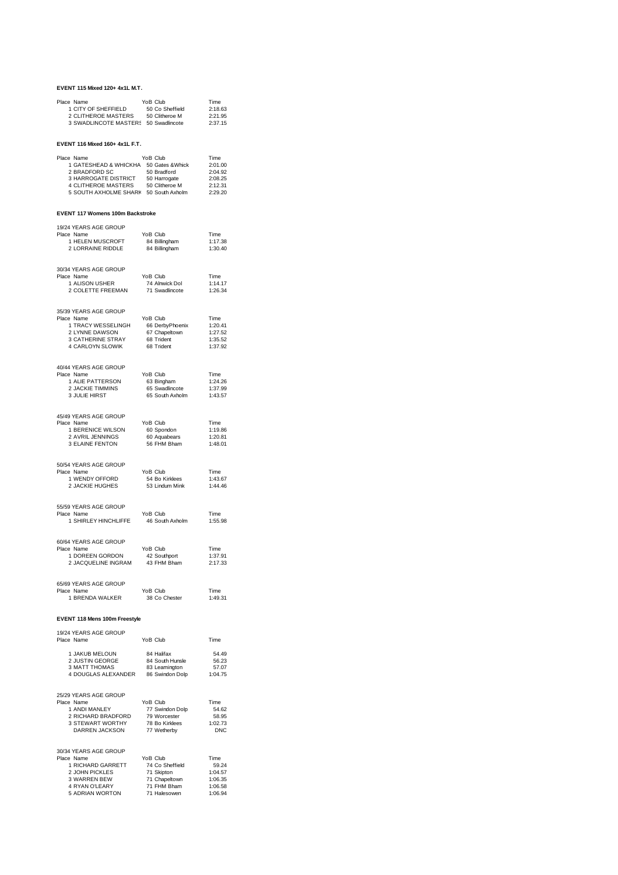#### **EVENT 115 Mixed 120+ 4x1L M.T.**

| Place Name            | YoB Club        | Time    |
|-----------------------|-----------------|---------|
| 1 CITY OF SHEFFIELD   | 50 Co Sheffield | 2:18.63 |
| 2 CLITHEROE MASTERS   | 50 Clitheroe M  | 2:21.95 |
| 3 SWADLINCOTE MASTER! | 50 Swadlincote  | 2:37.15 |

#### **EVENT 116 Mixed 160+ 4x1L F.T.**

| Place Name                 | YoB Club         | Time    |
|----------------------------|------------------|---------|
| 1 GATESHEAD & WHICKHA      | 50 Gates & Whick | 2:01.00 |
| 2 BRADFORD SC              | 50 Bradford      | 2:04.92 |
| 3 HARROGATE DISTRICT       | 50 Harrogate     | 2:08.25 |
| <b>4 CLITHEROE MASTERS</b> | 50 Clitheroe M   | 2:12.31 |
| 5 SOUTH AXHOLME SHARI      | 50 South Axholm  | 2:29.20 |

#### **EVENT 117 Womens 100m Backstroke**

| 19/24 YEARS AGE GROUP<br>Place Name<br>1 HELEN MUSCROFT<br>2 LORRAINE RIDDLE                                                    | YoB Club<br>84 Billingham<br>84 Billingham                                                | Time<br>1:17.38<br>1:30.40                                |
|---------------------------------------------------------------------------------------------------------------------------------|-------------------------------------------------------------------------------------------|-----------------------------------------------------------|
| 30/34 YEARS AGE GROUP<br>Place Name<br>1 ALISON USHER<br>2 COLETTE FREEMAN                                                      | YoB Club<br>74 Alnwick Dol<br>71 Swadlincote                                              | Time<br>1:14.17<br>1:26.34                                |
| 35/39 YEARS AGE GROUP<br>Place Name<br>1 TRACY WESSELINGH<br>2 LYNNE DAWSON<br>3 CATHERINE STRAY<br>4 CARLOYN SLOWIK            | YoB Club<br>66 DerbyPhoenix<br>67 Chapeltown<br>68 Trident<br>68 Trident                  | Time<br>1:20.41<br>1:27.52<br>1:35.52<br>1:37.92          |
| 40/44 YEARS AGE GROUP<br>Place Name<br>1 ALIE PATTERSON<br>2 JACKIE TIMMINS<br>3 JULIE HIRST                                    | YoB Club<br>YoB Club<br>63 Bingham<br>65 Swadlincote<br>65 South Axholm                   | Time<br>1:24.26<br>1:37.99<br>1:43.57                     |
| 45/49 YEARS AGE GROUP<br>Place Name<br>1 BERENICE WILSON<br>2 AVRIL JENNINGS<br>3 ELAINE FENTON                                 | YoB Club<br>YoB Club<br>60 Spondon<br>60 Aquabears<br>56 FHM Bham                         | Time<br>1:19.86<br>1:20.81<br>1:48.01                     |
| 50/54 YEARS AGE GROUP<br>Place Name<br>1 WENDY OFFORD<br>2 JACKIE HUGHES                                                        | YoB Club<br>54 Bo Kirklees<br>53 Lindum Mink                                              | Time<br>1:43.67<br>1:44.46                                |
| 55/59 YEARS AGE GROUP<br>Place Name<br>1 SHIRLEY HINCHLIFFE                                                                     | YoB Club<br>46 South Axholm                                                               | Time<br>1:55.98                                           |
| 60/64 YEARS AGE GROUP<br>Place Name<br>1 DOREEN GORDON<br>2 JACQUELINE INGRAM                                                   | YoB Club<br>42 Southport<br>43 FHM Bham                                                   | Time<br>1:37.91<br>2:17.33                                |
| 65/69 YEARS AGE GROUP<br>Place Name<br>1 BRENDA WALKER                                                                          | YoB Club<br>38 Co Chester                                                                 | Time<br>1:49.31                                           |
| EVENT 118 Mens 100m Freestyle                                                                                                   |                                                                                           |                                                           |
| 19/24 YEARS AGE GROUP<br>Place Name                                                                                             | YoB Club                                                                                  | Time                                                      |
| 1 JAKUB MELOUN<br>2 JUSTIN GEORGE<br>3 MATT THOMAS<br>4 DOUGLAS ALEXANDER                                                       | 84 Halifax<br>84 South Hunsle<br>83 Leamington<br>86 Swindon Dolp                         | 54.49<br>$56.2$<br>$57.07$<br>$75$<br>1:04.75             |
| 25/29 YEARS AGE GROUP<br>Place Name<br>1 ANDI MANLEY<br>2 RICHARD BRADFORD<br>3 STEWART WORTHY<br>DARREN JACKSON                | YoB Club<br>77 Swindon Dolp<br>79 Worcester<br>78 Bo Kirklees<br>77 Wetherby              | Time<br>54.62<br>58.95<br>1:02.73<br><b>DNC</b>           |
| 30/34 YEARS AGE GROUP<br>Place Name<br>1 RICHARD GARRETT<br>2 JOHN PICKLES<br>3 WARREN BEW<br>4 RYAN O'LEARY<br>5 ADRIAN WORTON | YoB Club<br>74 Co Sheffield<br>71 Skipton<br>71 Chapeltown<br>71 FHM Bham<br>71 Halesowen | Time<br>59.24<br>1:04.57<br>1:06.35<br>1:06.58<br>1:06.94 |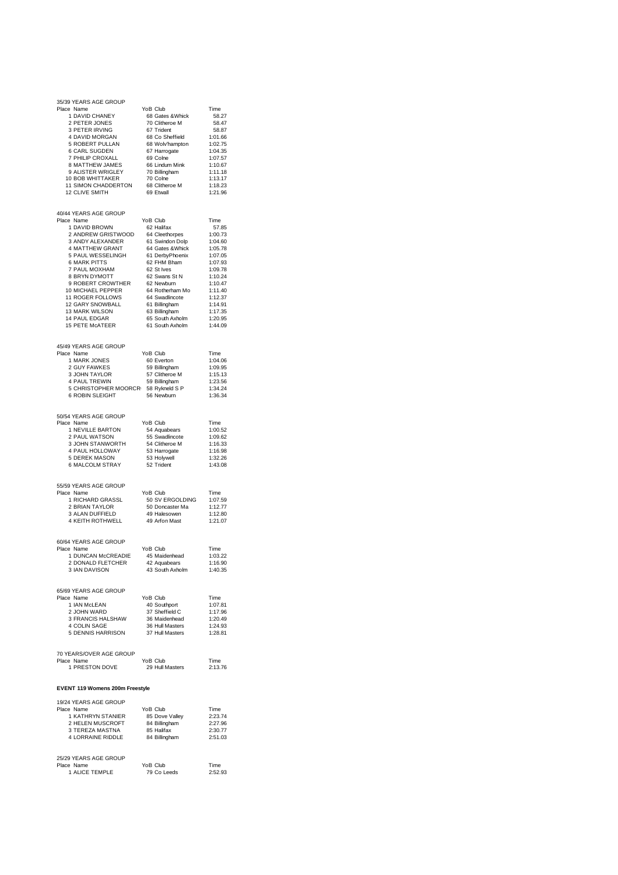| 35/39 YEARS AGE GROUP                                                                                                |                                                                                                   |                    |
|----------------------------------------------------------------------------------------------------------------------|---------------------------------------------------------------------------------------------------|--------------------|
| Place Name<br>1 DAVID CHANEY                                                                                         | YoB Club<br>68 Gates & Whick                                                                      | Time<br>58.27      |
| 2 PETER JONES                                                                                                        | 70 Clitheroe M                                                                                    | 58.47              |
| 3 PETER IRVING                                                                                                       | 67 Trident                                                                                        | 58.87              |
| 4 DAVID MORGAN<br>5 ROBERT PULLAN                                                                                    | 68 Co Sheffield                                                                                   | 1:01.66<br>1:02.75 |
| 6 CARL SUGDEN                                                                                                        | 68 Wolv'hampton<br>67 Harrogate                                                                   | 1:04.35            |
| 7 PHILIP CROXALL                                                                                                     | 69 Colne                                                                                          | 1:07.57            |
| 8 MATTHEW JAMES                                                                                                      | 66 Lindum Mink                                                                                    | 1:10.67            |
| 9 ALISTER WRIGLEY<br>10 BOB WHITTAKER                                                                                | 70 Billingham<br>70 Colne                                                                         | 1:11.18<br>1:13.17 |
| 11 SIMON CHADDERTON                                                                                                  | 68 Clitheroe M                                                                                    | 1:18.23            |
| 12 CLIVE SMITH                                                                                                       | 69 Etwall                                                                                         | 1:21.96            |
|                                                                                                                      |                                                                                                   |                    |
| 40/44 YEARS AGE GROUP                                                                                                |                                                                                                   |                    |
| Place Name                                                                                                           | YoB Club                                                                                          | Time               |
| 1 DAVID BROWN                                                                                                        | 62 Halifax                                                                                        | 57.85              |
| 2 ANDREW GRISTWOOD<br>3 ANDY ALEXANDER                                                                               | 64 Cleethorpes<br>61 Swindon Dolp                                                                 | 1:00.73<br>1:04.60 |
| 4 MATTHEW GRANT                                                                                                      | 64 Gates & Whick                                                                                  | 1:05.78            |
| 5 PAUL WESSELINGH                                                                                                    | 61 DerbyPhoenix                                                                                   | 1:07.05            |
| <b>6 MARK PITTS</b>                                                                                                  | 62 FHM Bham                                                                                       | 1:07.93            |
| 7 PAUL MOXHAM<br>8 BRYN DYMOTT                                                                                       | 62 St Ives<br>62 Swans St N                                                                       | 1:09.78<br>1:10.24 |
| 9 ROBERT CROWTHER                                                                                                    | 62 Newburn                                                                                        | 1:10.47            |
| 10 MICHAEL PEPPER                                                                                                    | 64 Rotherham Mo                                                                                   | 1:11.40            |
| 11 ROGER FOLLOWS                                                                                                     | 64 Swadlincote                                                                                    | 1:12.37            |
| 12 GARY SNOWBALL<br>13 MARK WILSON                                                                                   | 61 Billingham<br>63 Billingham                                                                    | 1:14.91<br>1:17.35 |
| 14 PAUL EDGAR                                                                                                        | 65 South Axholm                                                                                   | 1:20.95            |
| 15 PETE McATEER                                                                                                      | 61 South Axholm                                                                                   | 1:44.09            |
|                                                                                                                      |                                                                                                   |                    |
| 45/49 YEARS AGE GROUP                                                                                                |                                                                                                   |                    |
| Place Name                                                                                                           | YoB Club                                                                                          | Time               |
| 1 MARK JONES                                                                                                         | 60 Everton                                                                                        | 1:04.06            |
| 2 GUY FAWKES<br>3 JOHN TAYLOR                                                                                        | 59 Billingham<br>57 Clitheroe M                                                                   | 1:09.95<br>1:15.13 |
| <b>4 PAUL TREWIN</b>                                                                                                 | 59 Billingham                                                                                     | 1:23.56            |
| 5 CHRISTOPHER MOORCR 58 Rykneld S P                                                                                  |                                                                                                   | 1:34.24            |
| 6 ROBIN SLEIGHT                                                                                                      | 56 Newburn                                                                                        | 1:36.34            |
|                                                                                                                      |                                                                                                   |                    |
| 50/54 YEARS AGE GROUP                                                                                                |                                                                                                   |                    |
| Place Name<br>1 NEVILLE BARTON                                                                                       | YoB Club<br>54 Aquabears                                                                          | Time<br>1:00.52    |
| 2 PAUL WATSON                                                                                                        | 55 Swadlincote                                                                                    | 1:09.62            |
| 3 JOHN STANWORTH                                                                                                     | 54 Clitheroe M                                                                                    | 1:16.33            |
| 4 PAUL HOLLOWAY                                                                                                      | 53 Harrogate                                                                                      | 1:16.98            |
| 5 DEREK MASON<br>6 MALCOLM STRAY                                                                                     | 53 Holywell<br>52 Trident                                                                         | 1:32.26<br>1:43.08 |
|                                                                                                                      |                                                                                                   |                    |
|                                                                                                                      |                                                                                                   |                    |
| 55/59 YEARS AGE GROUP<br>Place Name                                                                                  | YoB Club                                                                                          | Time               |
| 1 RICHARD GRASSL                                                                                                     | 50 SV ERGOLDING                                                                                   | 1:07.59            |
| 2 BRIAN TAYLOR                                                                                                       | 50 Doncaster Ma                                                                                   | 1:12.77            |
| 3 ALAN DUFFIELD                                                                                                      | 49 Halesowen                                                                                      | 1:12.80            |
| <b>4 KEITH ROTHWELL</b>                                                                                              | 49 Arfon Mast                                                                                     | 1:21.07            |
|                                                                                                                      |                                                                                                   |                    |
| 60/64 YEARS AGE GROUP<br>Place Name                                                                                  | YoB Club                                                                                          | Time               |
| 1 DUNCAN McCREADIE                                                                                                   | 45 Maidenhead                                                                                     | 1:03.22            |
| 2 DONALD FLETCHER                                                                                                    | 42 Aquabears                                                                                      | 1:16.90            |
| 3 IAN DAVISON                                                                                                        | 43 South Axholm                                                                                   | 1:40.35            |
|                                                                                                                      |                                                                                                   |                    |
| 65/69 YEARS AGE GROUP<br>Place Name                                                                                  | YoB Club                                                                                          |                    |
| 1 IAN McLEAN                                                                                                         |                                                                                                   | Time<br>1:07.81    |
|                                                                                                                      |                                                                                                   | 1:17.96            |
| 1 IAN McLEAN<br>2 JOHN WARD<br>3 FRANCIS HALSHAW<br>4 COLIN SAGE                                                     | Top Cull<br>40 Southport<br>37 Sheffield C<br>36 Maidenhead<br>36 Hull Masters<br>37 Hull Masters | 1:20.49            |
| 4 COLIN SAGE                                                                                                         |                                                                                                   | 1:24.93            |
| 5 DENNIS HARRISON                                                                                                    |                                                                                                   | 1:28.81            |
|                                                                                                                      |                                                                                                   |                    |
| 70 YEARS/OVER AGE GROUP<br>Place Name                                                                                | YoB Club                                                                                          | Time               |
| 1 PRESTON DOVE                                                                                                       | 29 Hull Masters                                                                                   | 2:13.76            |
|                                                                                                                      |                                                                                                   |                    |
| EVENT 119 Womens 200m Freestyle                                                                                      |                                                                                                   |                    |
| 19/24 YEARS AGE GROUP                                                                                                |                                                                                                   |                    |
| Place Name                                                                                                           | YoB Club                                                                                          | Time               |
|                                                                                                                      |                                                                                                   | 2:23.74            |
|                                                                                                                      |                                                                                                   | 2:27.96<br>2:30.77 |
| 1 MATHRYN STANIER<br>2 HELEN MUSCROFT 84 Billingham<br>3 TEREZA MASTNA 85 Halifax<br>4 LORRAINE RIDDLE 84 Billingham |                                                                                                   | 2:51.03            |
|                                                                                                                      |                                                                                                   |                    |
| 25/29 YEARS AGE GROUP                                                                                                |                                                                                                   |                    |
| Place Name                                                                                                           | YoB Club                                                                                          | Time               |
| 1 ALICE TEMPLE                                                                                                       | 79 Co Leeds                                                                                       | 2:52.93            |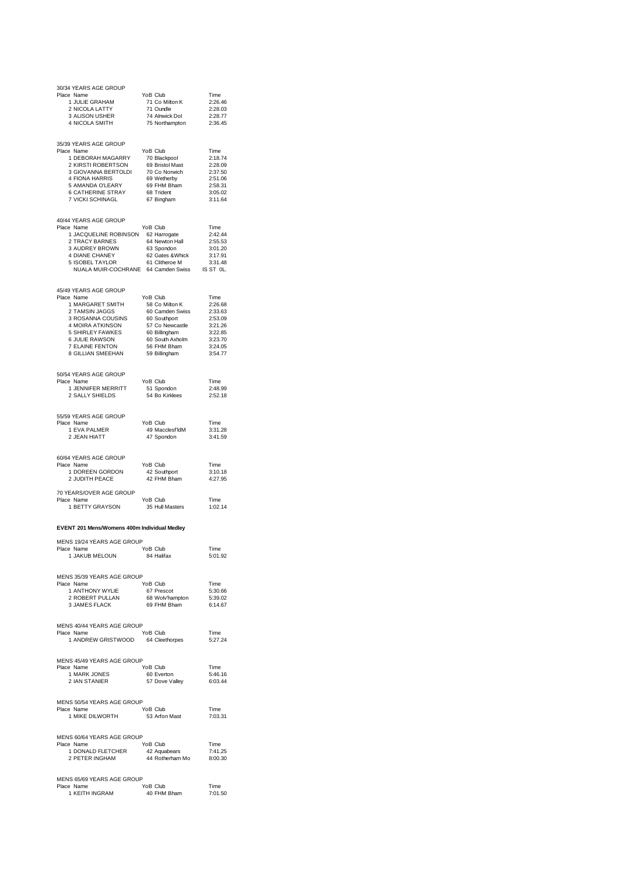| 30/34 YEARS AGE GROUP<br>Place Name                                                                                                                                                                         |  | YoB Club                                                         |                    |
|-------------------------------------------------------------------------------------------------------------------------------------------------------------------------------------------------------------|--|------------------------------------------------------------------|--------------------|
| 1 JULIE GRAHAM                                                                                                                                                                                              |  | 71 Co Milton K                                                   | Time<br>2:26.46    |
| 2 NICOLA LATTY                                                                                                                                                                                              |  | 71 Oundle                                                        | 2:28.03            |
| 3 ALISON USHER<br>4 NICOLA SMITH                                                                                                                                                                            |  | 74 Alnwick Dol<br>75 Northampton                                 | 2:28.77<br>2:36.45 |
|                                                                                                                                                                                                             |  |                                                                  |                    |
| 35/39 YEARS AGE GROUP                                                                                                                                                                                       |  |                                                                  |                    |
| Place Name<br>1 DEBORAH MAGARRY                                                                                                                                                                             |  | YoB Club                                                         | Time<br>2:18.74    |
| 2 KIRSTI ROBERTSON                                                                                                                                                                                          |  | 70 Blackpool<br>69 Bristol Mast<br>70 Co Norwich                 | 2:28.09            |
| 3 GIOVANNA BERTOLDI                                                                                                                                                                                         |  |                                                                  | 2:37.50            |
| 4 FIONA HARRIS<br>5 AMANDA O'LEARY                                                                                                                                                                          |  | 69 Wetherby<br>69 FHM Bham                                       | 2:51.06<br>2:58.31 |
| 6 CATHERINE STRAY<br>7 VICKI SCHINAGI                                                                                                                                                                       |  | 68 Trident                                                       | 3:05.02            |
| 7 VICKI SCHINAGL                                                                                                                                                                                            |  | 67 Bingham                                                       | 3:11.64            |
| 40/44 YEARS AGE GROUP                                                                                                                                                                                       |  |                                                                  |                    |
| Place Name<br>4 YEARS AGE GIVOR<br>1 JACQUELINE ROBINSON 62 Harrogate<br>1 JACQUELINE ROBINSON 62 Harrogate<br>2 TRACY BARNES 64 Newton Hall<br>3 AUDREY BROWN 63 Spondon<br>4 DIANE CHANEY 62 Gates &Whick |  |                                                                  | Time               |
|                                                                                                                                                                                                             |  |                                                                  | 2:42.44<br>2:55.53 |
|                                                                                                                                                                                                             |  |                                                                  | 3:01.20            |
| 3 AUDREY BROWN<br>4 DIANE CHANEY<br>5 ISOBEL TAYLOR<br>5 ISOBEL TAYLOR                                                                                                                                      |  | 61 Clitheroe M                                                   | 3:17.91            |
| NUALA MUIR-COCHRANE 64 Camden Swiss IS ST OL.                                                                                                                                                               |  |                                                                  | 3:31.48            |
|                                                                                                                                                                                                             |  |                                                                  |                    |
| 45/49 YEARS AGE GROUP                                                                                                                                                                                       |  |                                                                  |                    |
| Place Name<br>1 MARGARET SMITH                                                                                                                                                                              |  | YoB Club<br>58 Co Milton K                                       | Time<br>2:26.68    |
| 2 TAMSIN JAGGS                                                                                                                                                                                              |  | 60 Camden Swiss                                                  | 2:33.63            |
| 3 ROSANNA COUSINS                                                                                                                                                                                           |  | 60 Southport                                                     | 2:53.09            |
| 4 MOIRA ATKINSON<br>5 SHIRLEY FAWKES                                                                                                                                                                        |  | 57 Co Newcastle<br>60 Billingham                                 | 3:21.26<br>3:22.85 |
| 6 JULIE RAWSON                                                                                                                                                                                              |  | 60 Billingham<br>60 South Axholm<br>56 FHM Bham<br>59 Billingham | 3:23.70            |
| 7 ELAINE FENTON<br>8 GILLIAN SMEEHAN                                                                                                                                                                        |  | 59 Billingham                                                    | 3:24.05<br>3:54.77 |
|                                                                                                                                                                                                             |  |                                                                  |                    |
| 50/54 YEARS AGE GROUP                                                                                                                                                                                       |  |                                                                  |                    |
| Place Name                                                                                                                                                                                                  |  | YoB Club                                                         | Time               |
| 1 JENNIFER MERRITT<br>2 SALLY SHIELDS                                                                                                                                                                       |  | 51 Spondon<br>54 Bo Kirklees                                     | 2:48.99<br>2:52.18 |
|                                                                                                                                                                                                             |  |                                                                  |                    |
| 55/59 YEARS AGE GROUP                                                                                                                                                                                       |  |                                                                  |                    |
| Place Name                                                                                                                                                                                                  |  | YoB Club                                                         | Time               |
| 1 EVA PALMER<br>2 JEAN HIATT                                                                                                                                                                                |  | 49 Macclesf'ldM<br>47 Spondon                                    | 3:31.28<br>3:41.59 |
|                                                                                                                                                                                                             |  |                                                                  |                    |
| 60/64 YEARS AGE GROUP                                                                                                                                                                                       |  |                                                                  |                    |
| Place Name<br>1 DOREEN GORDON                                                                                                                                                                               |  | YoB Club<br>oB Clup<br>42 Southport                              | Time<br>3:10.18    |
| 2 JUDITH PEACE                                                                                                                                                                                              |  | 42 FHM Bham                                                      | 4:27.95            |
| 70 YEARS/OVER AGE GROUP                                                                                                                                                                                     |  |                                                                  |                    |
| Place Name                                                                                                                                                                                                  |  | YoB Club                                                         | Time               |
| 1 BETTY GRAYSON                                                                                                                                                                                             |  | 35 Hull Masters                                                  | 1:02.14            |
| EVENT 201 Mens/Womens 400m Individual Medley                                                                                                                                                                |  |                                                                  |                    |
| MENS 19/24 YEARS AGE GROUP                                                                                                                                                                                  |  |                                                                  |                    |
| Place Name                                                                                                                                                                                                  |  | YoB Club                                                         | <b>l</b> ime       |
| 1 JAKUB MELOUN                                                                                                                                                                                              |  | 84 Halifax                                                       | 5:01.92            |
|                                                                                                                                                                                                             |  |                                                                  |                    |
| MENS 35/39 YEARS AGE GROUP<br>Place Name                                                                                                                                                                    |  | YoB Club                                                         | Time               |
|                                                                                                                                                                                                             |  | 67 Prescot                                                       | 5:30.66            |
|                                                                                                                                                                                                             |  | 68 Wolvhampton 5:39.02<br>69 FHM Bham 6:14.67                    |                    |
| . אמו HONY WYLIE<br>2 ROBERT PULLAN<br>3 JAMES FLACK                                                                                                                                                        |  |                                                                  |                    |
| MENS 40/44 YEARS AGE GROUP                                                                                                                                                                                  |  |                                                                  |                    |
| Place Name                                                                                                                                                                                                  |  | YoB Club                                                         | Time               |
| 1 ANDREW GRISTWOOD                                                                                                                                                                                          |  | 64 Cleethorpes                                                   | 5:27.24            |
|                                                                                                                                                                                                             |  |                                                                  |                    |
| MENS 45/49 YEARS AGE GROUP<br>Place Name                                                                                                                                                                    |  | YoB Club                                                         |                    |
|                                                                                                                                                                                                             |  | Time<br>60 Everton<br>5146.16<br>57 Dove Valley<br>6:03.44       |                    |
| 1 MARK JONES<br>2 IAN STANIER                                                                                                                                                                               |  |                                                                  |                    |
|                                                                                                                                                                                                             |  |                                                                  |                    |
| MENS 50/54 YEARS AGE GROUP<br>Place Name                                                                                                                                                                    |  | YoB Club                                                         | Time               |
| 1 MIKE DILWORTH                                                                                                                                                                                             |  | 53 Arfon Mast                                                    | 7:03.31            |
|                                                                                                                                                                                                             |  |                                                                  |                    |
| MENS 60/64 YEARS AGE GROUP                                                                                                                                                                                  |  | YoB Club                                                         |                    |
| Place Name                                                                                                                                                                                                  |  | YoB Club Time<br>42 Aquabears 7:41.25<br>44 Rotherham Mo 8:00.30 |                    |
| 1 DONALD FLETCHER<br>2 PETER INGHAM                                                                                                                                                                         |  |                                                                  |                    |
|                                                                                                                                                                                                             |  |                                                                  |                    |
| MENS 65/69 YEARS AGE GROUP<br>Place Name                                                                                                                                                                    |  | YoB Club                                                         |                    |
| e Name<br>1 KEITH INGRAM                                                                                                                                                                                    |  | 40 FHM Bham                                                      | Time<br>7:01.50    |
|                                                                                                                                                                                                             |  |                                                                  |                    |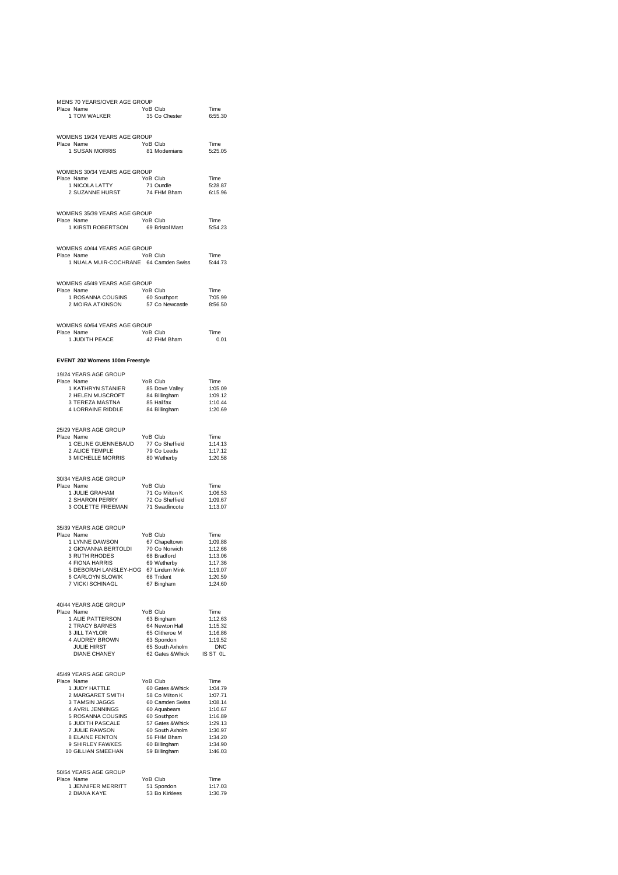| MENS 70 YEARS/OVER AGE GROUP<br>ں ہیں۔<br>TOM WALKER 1 TOM WALKER 35 Co Chester<br>Place Name                                                                                                                                                                                                                                                                                                                                                                                                                        | $35$ Co Chester                                                                                                                                         | Time<br>6:55.30                                                                   |
|----------------------------------------------------------------------------------------------------------------------------------------------------------------------------------------------------------------------------------------------------------------------------------------------------------------------------------------------------------------------------------------------------------------------------------------------------------------------------------------------------------------------|---------------------------------------------------------------------------------------------------------------------------------------------------------|-----------------------------------------------------------------------------------|
| WOMENS 19/24 YEARS AGE GROUP<br>Place Name<br>ce  Name<br>1 SUSAN MORRIS                                                                                                                                                                                                                                                                                                                                                                                                                                             | YoB Club<br>81 Modernians                                                                                                                               | Time<br>5:25.05                                                                   |
| WOMENS 30/34 YEARS AGE GROUP<br>CREAD TRIVING TO THE WAY TO THE TRIVING THE TRIVING THE TRIVING THE TRIVING THE TRIVING THE TRIVING THE TRIVING THE TRIVING THE TRIVING THE TRIVING THE TRIVING THE TRIVING THE TRIVING THE TRIVING THE TRIVING THE TRIVING TH<br>Place Name                                                                                                                                                                                                                                         |                                                                                                                                                         | Time<br>5:28.87<br>6:15.96                                                        |
| WOMENS 35/39 YEARS AGE GROUP<br>Place Name<br>e Name<br>1 KIRSTI ROBERTSON 69 Bristol Mast                                                                                                                                                                                                                                                                                                                                                                                                                           | YoB Club                                                                                                                                                | Time<br>5:54.23                                                                   |
| WOMENS 40/44 YEARS AGE GROUP<br>Place Name<br>1 NUALA MUIR-COCHRANE 64 Camden Swiss                                                                                                                                                                                                                                                                                                                                                                                                                                  | YoB Club                                                                                                                                                | Time<br>5:44.73                                                                   |
| WOMENS 45/49 YEARS AGE GROUP<br>EXAMPLE THE CONSUMER THE CONSUMER<br>1 ROSANNA COUSINS 60 Southport<br>2 MOIRA ATKINSON 57 Co Newcastle<br>Place Name                                                                                                                                                                                                                                                                                                                                                                |                                                                                                                                                         | Time<br>7:05.99<br>8:56.50                                                        |
| WOMENS 60/64 YEARS AGE GROUP<br>Place Name                                                                                                                                                                                                                                                                                                                                                                                                                                                                           |                                                                                                                                                         | Time<br>0.01                                                                      |
| EVENT 202 Womens 100m Freestyle                                                                                                                                                                                                                                                                                                                                                                                                                                                                                      |                                                                                                                                                         |                                                                                   |
| 19/24 YEARS AGE GROUP<br>Place Name                                                                                                                                                                                                                                                                                                                                                                                                                                                                                  | YoB Club                                                                                                                                                | Time<br>1:05.09<br>1:09.12<br>1:10.44<br>1:20.69                                  |
| 25/29 YEARS AGE GROUP<br>Place Name<br>e Name<br>1 CELINE GUENNEBAUD 77 Co Sheffield<br>2 ALICE TEMPLE 79 Co Leeds<br>3 MICHELLE MORRIS 80 Wetherby                                                                                                                                                                                                                                                                                                                                                                  | YoB Club                                                                                                                                                | Time<br>1:14.13<br>1:17.12<br>1:20.58                                             |
| 30/34 YEARS AGE GROUP<br>Primate Control Control Comments<br>1 JULIE GRAHAM 7 71 Comments<br>2 SHARON PERRY 72 Co Sheffield<br>3 COLETTE FREEMAN 71 Swadlincote<br>Place Name                                                                                                                                                                                                                                                                                                                                        |                                                                                                                                                         | Time<br>1:06.53<br>1:09.67<br>1:13.07                                             |
| 35/39 YEARS AGE GROUP<br>Place Name<br>4 FIONA HARRIS<br>19 Wetherby 69 Wetherby<br>19 S DEBORAH LANSLEY-HOG 67 Lindum Mink<br>6 CARLOYN SLOWIK 68 Trident<br>7 VICKI SCHINAGL 67 Bingham                                                                                                                                                                                                                                                                                                                            | YoB Club                                                                                                                                                | Time<br>1:09.88<br>1:12.66<br>1:13.06<br>1:17.36<br>1:19.07<br>1:20.59<br>1:24.60 |
| 40/44 YEARS AGE GROUP<br>Place Name<br>1 ALIE PATTERSON<br>2 TRACY BARNES<br>3 III I TAYLOR<br>3 JILL TAYLOR<br>3 JILL TAYLOR<br>4 AUDREY BROWN<br><b>JULIE HIRST</b><br><b>DIANE CHANEY</b>                                                                                                                                                                                                                                                                                                                         | YoB Club<br>VoB Club Time<br>63 Bingham 1:12.63<br>64 Newton Hall 1:15.32<br>65 Clitheroe M 1:16.86<br>63 Spondon 1:19.52<br>62 Gates & Whick IS ST 0L. | Time                                                                              |
| 45/49 YEARS AGE GROUP<br>Place Name<br>$\begin{tabular}{l l l l} \multicolumn{1}{c}{\textbf{7-1}} \multicolumn{1}{c}{\textbf{7-2}} \multicolumn{1}{c}{\textbf{7-3}} \multicolumn{1}{c}{\textbf{7-4}} \multicolumn{1}{c}{\textbf{7-5}} \multicolumn{1}{c}{\textbf{7-6}} \multicolumn{1}{c}{\textbf{7-7}} \multicolumn{1}{c}{\textbf{7-7}} \multicolumn{1}{c}{\textbf{7-7}} \multicolumn{1}{c}{\textbf{7-7}} \multicolumn{1}{c}{\textbf{7-7}} \multicolumn{1}{c}{\textbf{7-7}} \multicolumn{$<br>50/54 YEARS AGE GROUP | YoB Club                                                                                                                                                |                                                                                   |
| Place Name<br>e Name<br>1 JENNIFER MERRITT<br>2 DIANA KAYE                                                                                                                                                                                                                                                                                                                                                                                                                                                           | YoB Club<br>51 Spondon<br>53 Bo Kirklees                                                                                                                | Time<br>1:17.03<br>1:30.79                                                        |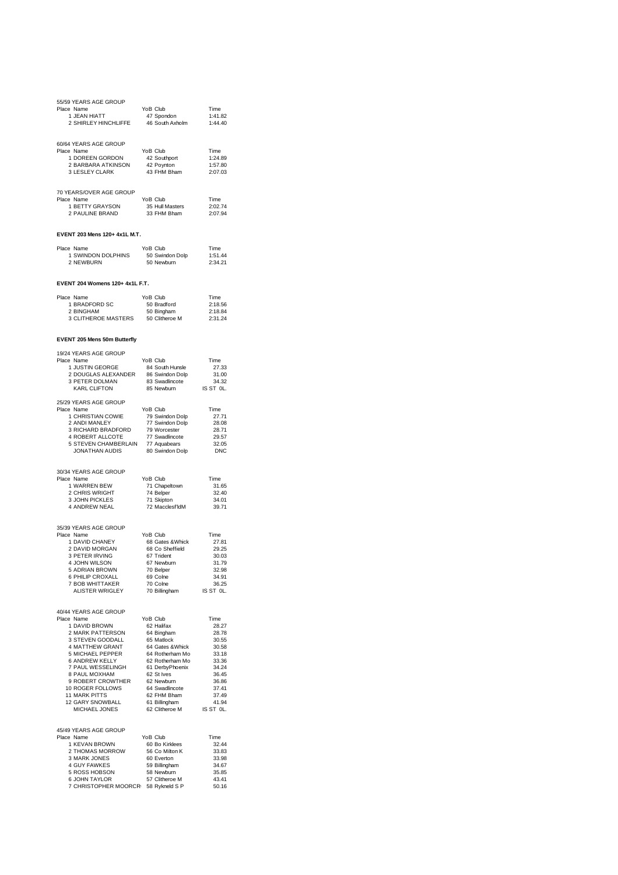| 55/59 YEARS AGE GROUP<br>Place Name<br>1 JEAN HIATT<br>2 SHIRLEY HINCHLIFFE                                                                                                                                                                                                                                                                                                                                                                                                                                                                                                                                                                  | YoB Club<br>47 Spondon<br>46 South Axholm | Time<br>1:41.82<br>1:44.40            |
|----------------------------------------------------------------------------------------------------------------------------------------------------------------------------------------------------------------------------------------------------------------------------------------------------------------------------------------------------------------------------------------------------------------------------------------------------------------------------------------------------------------------------------------------------------------------------------------------------------------------------------------------|-------------------------------------------|---------------------------------------|
| 60/64 YEARS AGE GROUP<br>Place Name<br>1 DOREEN GORDON 42 Southport<br>2 BARBARA ATKINSON 42 Poynton<br>2 LESLEV OLARK 42 FUM DEATH<br>3 LESLEY CLARK                                                                                                                                                                                                                                                                                                                                                                                                                                                                                        | YoB Club<br>43 FHM Bham                   | Time<br>1:24.89<br>1:57.80<br>2:07.03 |
| 70 YEARS/OVER AGE GROUP<br>Place Name<br>1 BETTY GRAYSON 35 Hull Masters<br>2 PAULINE BRAND 33 FHM Bham 2:07.94                                                                                                                                                                                                                                                                                                                                                                                                                                                                                                                              | YoB Club                                  | Time                                  |
| EVENT 203 Mens 120+ 4x1L M.T.                                                                                                                                                                                                                                                                                                                                                                                                                                                                                                                                                                                                                |                                           |                                       |
| Place Name<br>e Name<br>1 SWINDON DOLPHINS<br>2 NEWBURN                                                                                                                                                                                                                                                                                                                                                                                                                                                                                                                                                                                      | YoB Club<br>50 Swindon Dolp<br>50 Newburn | Time<br>1:51.44<br>2:34.21            |
| EVENT 204 Womens 120+ 4x1L F.T.                                                                                                                                                                                                                                                                                                                                                                                                                                                                                                                                                                                                              |                                           |                                       |
| Place Name<br>The RADFORD SC 50 Bradford<br>2 BINGHAM 50 Bingham 2:18.86<br>3 CLITHEROE MASTERS 50 Clitheroe M 2:31.24                                                                                                                                                                                                                                                                                                                                                                                                                                                                                                                       | YoB Club                                  | Time                                  |
| EVENT 205 Mens 50m Butterfly                                                                                                                                                                                                                                                                                                                                                                                                                                                                                                                                                                                                                 |                                           |                                       |
| 19/24 YEARS AGE GROUP<br>- TRATIVE ORIGINAL Time<br>1 JUSTIN GEORGE 27.33<br>2 DOUGLAS ALEXANDER 86 Swindon Dolp 31.00<br>3 PETER DOLMAN 83 Swadincote 34.32<br>2 KARL CLIFTON 85 Newburn IS ST OL.<br>Place Name                                                                                                                                                                                                                                                                                                                                                                                                                            |                                           |                                       |
| 25/29 YEARS AGE GROUP<br>Place Name                                                                                                                                                                                                                                                                                                                                                                                                                                                                                                                                                                                                          | YoB Club                                  | Time                                  |
| 9 Imperiment of the USD of the CHRISTIAN COWIE<br>2 ANDI MANLEY 77 Swindon Dolp<br>3 RICHARD BRADFORD 79 Worcester 28.7.1<br>4 ROBERT ALLOCTE 77 Swindon Dolp<br>5 STEVEN CHAMBERLAIN 77 Aquabears 32.05<br>JONATHAN AUDIS 80 Swindon D                                                                                                                                                                                                                                                                                                                                                                                                      |                                           |                                       |
| 30/34 YEARS AGE GROUP                                                                                                                                                                                                                                                                                                                                                                                                                                                                                                                                                                                                                        |                                           |                                       |
| Place Name                                                                                                                                                                                                                                                                                                                                                                                                                                                                                                                                                                                                                                   |                                           | Time<br>31.65                         |
| e Name<br>1 WARREN BEW 71 Chapeltown<br>2 CHRIS WRIGHT 74 Belper<br>3 JOHN PICKLES 71 Skipton<br>4 ANDREW NEAL 72 Macclesf'ldM                                                                                                                                                                                                                                                                                                                                                                                                                                                                                                               | 72 Macclesf IdM                           | 32.40<br>34.01<br>39.71               |
| 35/39 YEARS AGE GROUP                                                                                                                                                                                                                                                                                                                                                                                                                                                                                                                                                                                                                        |                                           |                                       |
| Place Name                                                                                                                                                                                                                                                                                                                                                                                                                                                                                                                                                                                                                                   | YoB Club                                  | Time<br>27.81                         |
| The CHANEY<br>1 DAVID CHANEY<br>2 DAVID MORGAN<br>3 PETER IRVING<br>3 PETER IRVING<br>67 Trident                                                                                                                                                                                                                                                                                                                                                                                                                                                                                                                                             |                                           | 29.25<br>30.03                        |
| 4 JOHN WILSON                                                                                                                                                                                                                                                                                                                                                                                                                                                                                                                                                                                                                                | 67 Newburn                                | 31.79                                 |
| 5 ADRIAN BROWN<br>6 PHILIP CROXALL                                                                                                                                                                                                                                                                                                                                                                                                                                                                                                                                                                                                           | 70 Belper<br>69 Colne                     | 32.98<br>34.91                        |
| 7 BOB WHITTAKER                                                                                                                                                                                                                                                                                                                                                                                                                                                                                                                                                                                                                              | 70 Colne                                  | 36.25                                 |
| ALISTER WRIGLEY                                                                                                                                                                                                                                                                                                                                                                                                                                                                                                                                                                                                                              | 70 Billingham IS ST OL.                   |                                       |
| 40/44 YEARS AGE GROUP<br>Place Name                                                                                                                                                                                                                                                                                                                                                                                                                                                                                                                                                                                                          | YoB Club                                  | Time                                  |
|                                                                                                                                                                                                                                                                                                                                                                                                                                                                                                                                                                                                                                              |                                           | 28.27                                 |
|                                                                                                                                                                                                                                                                                                                                                                                                                                                                                                                                                                                                                                              |                                           | 28.78<br>30.55                        |
|                                                                                                                                                                                                                                                                                                                                                                                                                                                                                                                                                                                                                                              |                                           | 30.58                                 |
|                                                                                                                                                                                                                                                                                                                                                                                                                                                                                                                                                                                                                                              |                                           | 33.18<br>33.36                        |
|                                                                                                                                                                                                                                                                                                                                                                                                                                                                                                                                                                                                                                              |                                           | 34.24                                 |
|                                                                                                                                                                                                                                                                                                                                                                                                                                                                                                                                                                                                                                              |                                           | 36.45<br>36.86                        |
|                                                                                                                                                                                                                                                                                                                                                                                                                                                                                                                                                                                                                                              |                                           |                                       |
| $\begin{tabular}{ll} $\mathbb{Z}$ & $\mathbb{S}\mathbb{Z}$ & $\mathbb{S}\mathbb{Z}$ & $\mathbb{S}\mathbb{Z}$ & $\mathbb{S}\mathbb{Z}$ & $\mathbb{S}\mathbb{Z}$ & $\mathbb{S}\mathbb{Z}$ & $\mathbb{S}\mathbb{Z}$ & $\mathbb{S}\mathbb{Z}$ & $\mathbb{S}\mathbb{Z}$ & $\mathbb{S}\mathbb{Z}$ & $\mathbb{S}\mathbb{Z}$ & $\mathbb{S}\mathbb{Z}$ & $\mathbb{S}\mathbb{Z}$ & $\mathbb{S}\mathbb{Z}$ & $\mathbb{S}\mathbb{Z}\mathbb{Z}$ & $\mathbb{S}\mathbb{Z}\mathbb{Z}\mathbb{Z$<br>10 ROGER FOLLOWS 64 Swadingtote 37.41<br>11 MARK PITTS 62 FMM Bham 37.49<br>12 GARY SNOWBALL 61 Billingham 41.94<br>MICHAEL JONES 62 Clitheroe M IS ST OL. |                                           | 37.49                                 |
|                                                                                                                                                                                                                                                                                                                                                                                                                                                                                                                                                                                                                                              |                                           |                                       |
| 45/49 YEARS AGE GROUP<br>Place Name                                                                                                                                                                                                                                                                                                                                                                                                                                                                                                                                                                                                          | YoB Club                                  | Time                                  |
| e Name<br>1 KEVAN BROWN<br>2 THOMAS MORROW                                                                                                                                                                                                                                                                                                                                                                                                                                                                                                                                                                                                   | 60 Bo Kirklees                            | 32.44                                 |
|                                                                                                                                                                                                                                                                                                                                                                                                                                                                                                                                                                                                                                              | 56 Co Milton K                            | 33.83<br>33.98                        |
| COMINDING COMMENT CONTROL CONTROL<br>4 GUY FAWKES 59 Billingham<br>5 ROSS HOBSON 58 Newburn<br>6 JOHN TAYLOR 57 CPH:<br>7 CHRISTOR: 57 CPH                                                                                                                                                                                                                                                                                                                                                                                                                                                                                                   |                                           | 34.67                                 |
|                                                                                                                                                                                                                                                                                                                                                                                                                                                                                                                                                                                                                                              |                                           | 35.85<br>43.41                        |
| 7 CHRISTOPHER MOORCR 58 Rykneld S P                                                                                                                                                                                                                                                                                                                                                                                                                                                                                                                                                                                                          |                                           | 50.16                                 |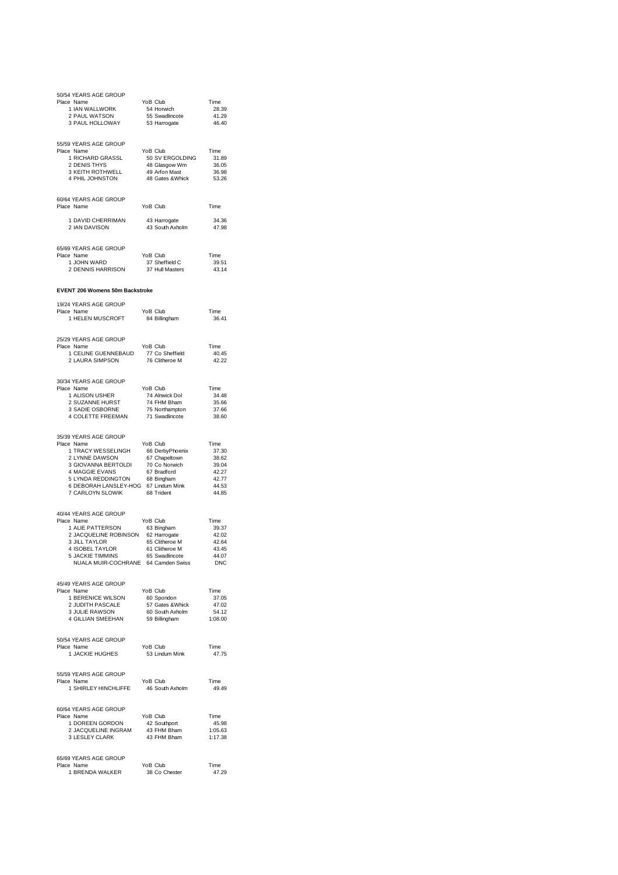| 50/54 YEARS AGE GROUP                                                                                                                                                              |                                                              |                     |
|------------------------------------------------------------------------------------------------------------------------------------------------------------------------------------|--------------------------------------------------------------|---------------------|
| Place Name<br>1 IAN WALLWORK                                                                                                                                                       | YoB Club<br>54 Horwich                                       | Time<br>28.39       |
| 2 PAUL WATSON                                                                                                                                                                      | 55 Swadlincote<br>53 Harrogate                               | 41.29               |
| 3 PAUL HOLLOWAY                                                                                                                                                                    |                                                              | 46.40               |
|                                                                                                                                                                                    |                                                              |                     |
| 55/59 YEARS AGE GROUP<br>Place Name                                                                                                                                                | YoB Club                                                     | Time                |
| 1 RICHARD GRASSL                                                                                                                                                                   | 50 SV ERGOLDING                                              | 31.89               |
| 2 DENIS THYS                                                                                                                                                                       | 48 Glasgow Wm<br>49 Arfon Mast                               | 36.05<br>36.98      |
| 3 KEITH ROTHWELL<br>4 PHIL JOHNSTON                                                                                                                                                | 48 Gates & Whick 53.26                                       |                     |
|                                                                                                                                                                                    |                                                              |                     |
| 60/64 YEARS AGE GROUP                                                                                                                                                              |                                                              |                     |
| Place Name                                                                                                                                                                         | YoB Club                                                     | Time                |
| 1 DAVID CHERRIMAN                                                                                                                                                                  | 43 Harrogate                                                 | 34.36               |
| 2 IAN DAVISON                                                                                                                                                                      | 43 South Axholm                                              | 47.98               |
|                                                                                                                                                                                    |                                                              |                     |
| 65/69 YEARS AGE GROUP                                                                                                                                                              |                                                              |                     |
| Place Name<br>1 JOHN WARD                                                                                                                                                          | YoB Club<br>37 Sheffield C                                   | Time<br>39.51       |
| 2 DENNIS HARRISON                                                                                                                                                                  | 37 Hull Masters                                              | 43.14               |
|                                                                                                                                                                                    |                                                              |                     |
| <b>EVENT 206 Womens 50m Backstroke</b>                                                                                                                                             |                                                              |                     |
| 19/24 YEARS AGE GROUP                                                                                                                                                              |                                                              |                     |
| Place Name                                                                                                                                                                         | YoB Club                                                     | Time                |
| 1 HELEN MUSCROFT                                                                                                                                                                   | 84 Billingham                                                | 36.41               |
|                                                                                                                                                                                    |                                                              |                     |
| 25/29 YEARS AGE GROUP                                                                                                                                                              |                                                              |                     |
| Place Name                                                                                                                                                                         | YoB Club                                                     | Time<br>40.45       |
| 1 CELINE GUENNEBAUD 77 Co Sheffield<br>2 LAURA SIMPSON 76 Clitheroe M                                                                                                              |                                                              | 42.22               |
|                                                                                                                                                                                    |                                                              |                     |
| 30/34 YEARS AGE GROUP                                                                                                                                                              |                                                              |                     |
| Place Name<br>1 ALISON USHER                                                                                                                                                       | YoB Club                                                     | Time<br>34.48       |
|                                                                                                                                                                                    |                                                              | 35.66               |
| 2 SUZANNE HURST<br>3 SADIE OSBORNE                                                                                                                                                 | YoB Citub<br>74 Alnwick Dol<br>74 FHM Bham<br>75 Northampton | 37.66               |
| 4 COLETTE FREEMAN                                                                                                                                                                  | 71 Swadlincote                                               | 38.60               |
|                                                                                                                                                                                    |                                                              |                     |
| 35/39 YEARS AGE GROUP<br>Place Name                                                                                                                                                | YoB Club                                                     | Time                |
|                                                                                                                                                                                    |                                                              | 37.30               |
| 1 TRACY WESSELINGH 66 DerbyPhoenix<br>2 LYNNE DAWSON 67 Chapeltown<br>3 GIOVANNA BERTOLDI 70 Co Norwich                                                                            |                                                              | 38.62               |
| 4 MAGGIE EVANS                                                                                                                                                                     | 67 Bradford                                                  | 39.04<br>42.27      |
| 5 LYNDA REDDINGTON 68 Bingham                                                                                                                                                      |                                                              | 42.77               |
| 6 DEBORAH LANSLEY-HOG 67 Lindum Mink<br>7 CARLOYN SLOWIK                                                                                                                           | 68 Trident                                                   | 44.53<br>44.85      |
|                                                                                                                                                                                    |                                                              |                     |
| 40/44 YEARS AGE GROUP                                                                                                                                                              |                                                              |                     |
| Place Name                                                                                                                                                                         | YoB Club                                                     | Time                |
| 1 ALIE PATTERSON                                                                                                                                                                   | 63 Bingham<br>62 Harrogate                                   | 39.37               |
| 2 JACQUELINE ROBINSON<br>3 JILL TAYLOR                                                                                                                                             | 65 Clitheroe M                                               | 42.02<br>42.64      |
| 4 ISOBEL TAYLOR                                                                                                                                                                    | 61 Clitheroe M                                               | 43.45               |
| 5 JACKIE TIMMINS                                                                                                                                                                   | 65 Swadlincote                                               | 44.07<br><b>DNC</b> |
| NUALA MUIR-COCHRANE 64 Camden Swiss                                                                                                                                                |                                                              |                     |
| 45/49 YEARS AGE GROUP                                                                                                                                                              |                                                              |                     |
| Place Name                                                                                                                                                                         |                                                              |                     |
|                                                                                                                                                                                    |                                                              |                     |
|                                                                                                                                                                                    |                                                              | 47.02               |
| 9 Textro 100 Club<br>1 BERENICE WILSON 60 Spondon 37.05<br>2 JUDITH PASCALE 57 Gates & Whick 47.02<br>3 JULIE RAWSON 60 South Axholm 54.12<br>3 JULIE RAWSON 50 South Axholm 54.12 |                                                              |                     |
|                                                                                                                                                                                    |                                                              |                     |
| 50/54 YEARS AGE GROUP                                                                                                                                                              |                                                              |                     |
| Place Name<br>1 JACKIE HUGHES                                                                                                                                                      | YoB Club<br>53 Lindum Mink                                   | Time<br>47.75       |
|                                                                                                                                                                                    |                                                              |                     |
| 55/59 YEARS AGE GROUP                                                                                                                                                              |                                                              |                     |
| Place Name                                                                                                                                                                         | YoB Club                                                     | Time                |
| 1 SHIRLEY HINCHLIFFE                                                                                                                                                               | 46 South Axholm                                              | 49.49               |
|                                                                                                                                                                                    |                                                              |                     |
| 60/64 YEARS AGE GROUP                                                                                                                                                              |                                                              |                     |
| Place Name                                                                                                                                                                         | YoB Club                                                     | Time<br>45.98       |
| e Name<br>1 DOREEN GORDON 42 Southport<br>2 JACQUELINE INGRAM 43 FHM Bham<br>3 LESLEY CLARK 43 FHM Bham                                                                            |                                                              | 1:05.63             |
| 3 LESLEY CLARK                                                                                                                                                                     | 43 FHM Bham                                                  | 1:17.38             |
|                                                                                                                                                                                    |                                                              |                     |
| 65/69 YEARS AGE GROUP<br>Place Name                                                                                                                                                | YoB Club                                                     | Time                |
| 1 BRENDA WALKER                                                                                                                                                                    | 38 Co Chester                                                | 47.29               |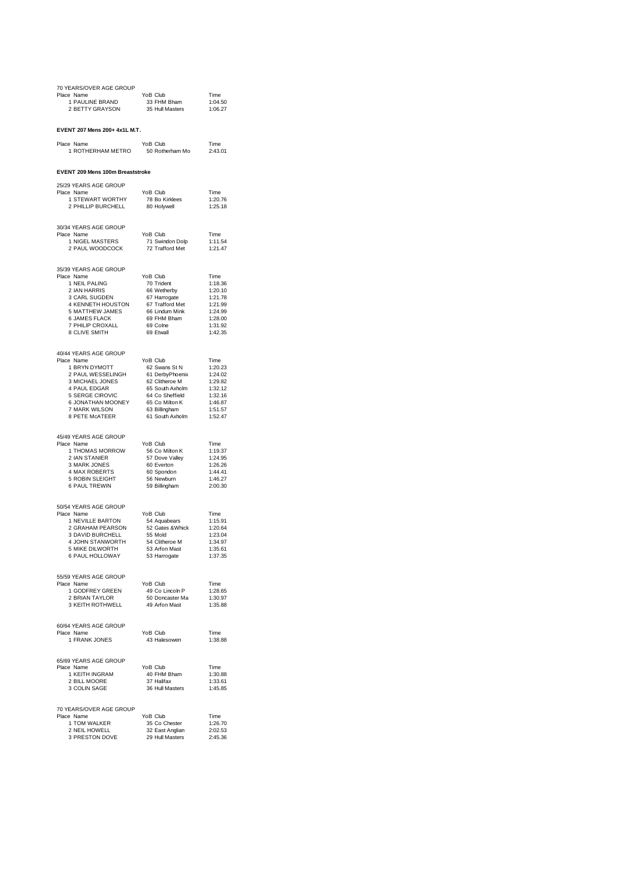| 70 YEARS/OVER AGE GROUP<br>Place Name                                                                                                                                                                                                                        | YoB Club                                                        | Time               |
|--------------------------------------------------------------------------------------------------------------------------------------------------------------------------------------------------------------------------------------------------------------|-----------------------------------------------------------------|--------------------|
| ce Name<br>1 PAULINE BRAND<br>2 BETTY GRAYSON                                                                                                                                                                                                                |                                                                 |                    |
|                                                                                                                                                                                                                                                              |                                                                 |                    |
| EVENT 207 Mens 200+ 4x1L M.T.                                                                                                                                                                                                                                |                                                                 |                    |
| Place Name<br>1 ROTHERHAM METRO                                                                                                                                                                                                                              | YoB Club<br>50 Rotherham Mo 2:43.01                             | Time               |
| EVENT 209 Mens 100m Breaststroke                                                                                                                                                                                                                             |                                                                 |                    |
| 25/29 YEARS AGE GROUP                                                                                                                                                                                                                                        |                                                                 |                    |
| Place Name<br>1 STEWART WORTHY<br>2 PHILLIP BURCHELL 80 Holywell                                                                                                                                                                                             | YoB Club                                                        | Time<br>1:20.76    |
|                                                                                                                                                                                                                                                              |                                                                 | 1:25.18            |
| 30/34 YEARS AGE GROUP                                                                                                                                                                                                                                        |                                                                 |                    |
| Place Name<br>e_name<br>1 NIGEL MASTERS<br>2 PAUL WOODCOCK                                                                                                                                                                                                   | YoB Club<br>71 Swindon Dolp<br>72 Trafford Met                  | Time<br>1:11.54    |
|                                                                                                                                                                                                                                                              |                                                                 | 1:21.47            |
| 35/39 YEARS AGE GROUP                                                                                                                                                                                                                                        |                                                                 |                    |
| 97 PEARS AGE GROUP<br>2 PEARS AGE GROUP<br>2 NAMERRIS 67 O Trident<br>3 CARL SUGDEN 66 Welterby<br>3 CARL SUGDEN 67 Harrogate<br>4 KENNETH HOUSTON 67 Trafford Met<br>5 MATTHEW JAMES 66 Lindum Mink<br>6 JAMES FLACK<br>7 PHILIP CROXALL 69 C<br>Place Name |                                                                 | Time<br>1:18.36    |
|                                                                                                                                                                                                                                                              |                                                                 | 1:20.10            |
|                                                                                                                                                                                                                                                              |                                                                 | 1:21.78<br>1:21.99 |
|                                                                                                                                                                                                                                                              |                                                                 | 1:24.99            |
|                                                                                                                                                                                                                                                              |                                                                 | 1:28.00<br>1:31.92 |
|                                                                                                                                                                                                                                                              |                                                                 | 1:42.35            |
| 40/44 YEARS AGE GROUP                                                                                                                                                                                                                                        |                                                                 |                    |
| Place Name                                                                                                                                                                                                                                                   |                                                                 |                    |
|                                                                                                                                                                                                                                                              |                                                                 |                    |
|                                                                                                                                                                                                                                                              |                                                                 |                    |
|                                                                                                                                                                                                                                                              |                                                                 |                    |
|                                                                                                                                                                                                                                                              |                                                                 |                    |
| FIERIND NOL GIVOR<br>1 BRYN DYMOTT 62 Swans St N 120.23<br>2 PAUL WESSELINGH 61 DerbyPhoenix 1:24.02<br>3 MICHAEL JONES<br>4 PAUL EDGAR 65 South Axholm 1:32.12<br>4 PAUL EDGAR 65 South Axholm 1:32.12<br>5 SERGE CIROVIC 64 Co Sheffi                      |                                                                 |                    |
| 45/49 YEARS AGE GROUP                                                                                                                                                                                                                                        |                                                                 |                    |
| Place Name                                                                                                                                                                                                                                                   | YoB Club                                                        | Time               |
|                                                                                                                                                                                                                                                              |                                                                 | 1:19.37<br>1:24.95 |
|                                                                                                                                                                                                                                                              |                                                                 | 1:26.26<br>1:44.41 |
|                                                                                                                                                                                                                                                              |                                                                 | 1:46.27            |
| 6 PAUL TREWIN                                                                                                                                                                                                                                                | 59 Billingham                                                   | 2:00.30            |
| 50/54 YEARS AGE GROUP                                                                                                                                                                                                                                        |                                                                 |                    |
| Place Name<br>Formal Mondon Volet Cub<br>1 NEVILLE BARTON 52 Gradears<br>2 GRAHAM PEARSON 52 Gates & Whick<br>3 DAVID BURCHELL 55 Mold<br>4 JOHN STANWORTH 54 Clitheroe M                                                                                    | YoB Club                                                        | Time<br>1:15.91    |
|                                                                                                                                                                                                                                                              |                                                                 | 1:20.64            |
|                                                                                                                                                                                                                                                              |                                                                 | 1:23.04<br>1:34.97 |
| 5 MIKE DILWORTH                                                                                                                                                                                                                                              | 53 Arfon Mast<br>53 Harrogate                                   | 1:35.61            |
| 6 PAUL HOLLOWAY                                                                                                                                                                                                                                              |                                                                 | 1:37.35            |
| 55/59 YEARS AGE GROUP                                                                                                                                                                                                                                        |                                                                 |                    |
| Place Name                                                                                                                                                                                                                                                   | YoB Club                                                        | Time<br>1:28.65    |
| 1 GODFREY GREEN<br>2 BRIAN TAYLOR<br>3 KEITH ROTHWELL                                                                                                                                                                                                        | YoB Club<br>49 Co Lincoln P<br>50 Doncaster Ma<br>49 Arfon Mast | 1:30.97            |
|                                                                                                                                                                                                                                                              |                                                                 | 1:35.88            |
| 60/64 YEARS AGE GROUP                                                                                                                                                                                                                                        |                                                                 |                    |
| Place Name<br>1 FRANK JONES                                                                                                                                                                                                                                  | YoB Club<br>43 Halesowen                                        | Time<br>1:38.88    |
|                                                                                                                                                                                                                                                              |                                                                 |                    |
| 65/69 YEARS AGE GROUP<br>Place Name                                                                                                                                                                                                                          | YoB Club                                                        | Time               |
|                                                                                                                                                                                                                                                              | 40 FHM Bham<br>37 Halifax                                       | 1:30.88            |
| e Name<br>1 KEITH INGRAM<br>2 BILL MOORE<br>3 COLIN SAGE                                                                                                                                                                                                     | 36 Hull Masters                                                 | 1:33.61<br>1:45.85 |
|                                                                                                                                                                                                                                                              |                                                                 |                    |
| 70 YEARS/OVER AGE GROUP<br>Place Name                                                                                                                                                                                                                        | YoB Club                                                        | Time               |
|                                                                                                                                                                                                                                                              |                                                                 |                    |
|                                                                                                                                                                                                                                                              |                                                                 |                    |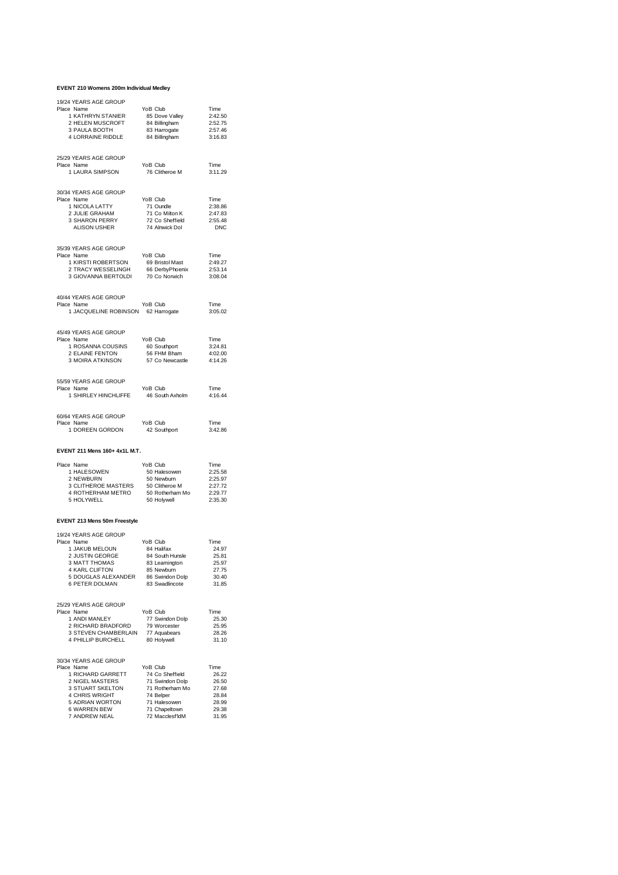#### **EVENT 210 Womens 200m Individual Medley**

| 19/24 YEARS AGE GROUP<br>Place Name<br>1 KATHRYN STANIER<br>2 HELEN MUSCROFT<br>3 PAULA BOOTH<br>4 LORRAINE RIDDLE | YoB Club<br>85 Dove Valley<br>84 Billingham<br>83 Harrogate<br>84 Billingham                                           | Time<br>2:42.50<br>2:52.75<br>2:57.46<br>3:16.83            |
|--------------------------------------------------------------------------------------------------------------------|------------------------------------------------------------------------------------------------------------------------|-------------------------------------------------------------|
| 25/29 YEARS AGE GROUP<br>Place Name<br>1 LAURA SIMPSON                                                             | YoB Club<br>76 Clitheroe M                                                                                             | Time<br>3:11.29                                             |
| 30/34 YEARS AGE GROUP<br>Place Name<br>ے کا SHARITY<br>2 JULIE GRAHAM<br>3 SHARON PERRY<br>ALISON USHER            | YoB Club<br>72 Co Sheffield<br>74 Alnwick Dol                                                                          | Time<br>2:38.86<br>2:47.83<br>2:55.48<br><b>DNC</b>         |
| 35/39 YEARS AGE GROUP<br>Place Name<br>1 KIRSTI ROBERTSON<br>2 TRACY WESSELINGH<br>3 GIOVANNA BERTOLDI             | YoB Club<br>69 Bristol Mast<br>os Directores<br>66 DerbyPhoenix<br>70 Co Norwich                                       | Time<br>2:49.27<br>2:53.14<br>3:08.04                       |
| 40/44 YEARS AGE GROUP<br>Place Name<br>1 JACQUELINE ROBINSON 62 Harrogate                                          | YoB Club                                                                                                               | Time<br>3:05.02                                             |
| 45/49 YEARS AGE GROUP<br>Place Name<br>1 ROSANNA COUSINS<br>2 ELAINE FENTON<br>3 MOIRA ATKINSON                    | YoB Club<br>60 Southport<br>56 FHM Bham<br>57 Co Newcastle                                                             | Time<br>3:24.81<br>4:02.00<br>4:14.26                       |
| 55/59 YEARS AGE GROUP<br>Place Name<br>1 SHIRLEY HINCHLIFFE                                                        | YoB Club<br>46 South Axholm                                                                                            | Time<br>4:16.44                                             |
| 60/64 YEARS AGE GROUP<br>Place Name<br>1 DOREEN GORDON                                                             | YoB Club<br>42 Southport                                                                                               | Time<br>3:42.86                                             |
| EVENT 211 Mens 160+ 4x1L M.T.                                                                                      |                                                                                                                        |                                                             |
| Place Name<br>1 HALESOWEN<br>2 NEWBURN<br>3 CLITHEROE MASTERS<br>4 ROTHERHAM METRO<br>5 HOLYWELL                   | YoB Club<br>50 Halesowen<br>50 Newburn<br>50 Newburn<br>50 Newbarr<br>50 Clitheroe M<br>50 Rotherham Mo<br>50 Holywell | Time<br>2:25.58<br>2:25.97<br>2:27.72<br>2:29.77<br>2:35.30 |
| EVENT 213 Mens 50m Freestyle                                                                                       |                                                                                                                        |                                                             |
| 19/24 YEARS AGE GROUP                                                                                              |                                                                                                                        |                                                             |

| Place Name            | YoB Club        | Time  |
|-----------------------|-----------------|-------|
| 1 JAKUB MELOUN        | 84 Halifax      | 24.97 |
| 2 JUSTIN GEORGE       | 84 South Hunsle | 25.81 |
| 3 MATT THOMAS         | 83 Leamington   | 25.97 |
| <b>4 KARL CLIFTON</b> | 85 Newburn      | 27.75 |
| 5 DOUGLAS ALEXANDER   | 86 Swindon Dolp | 30.40 |
| 6 PETER DOLMAN        | 83 Swadlincote  | 31.85 |
| 25/29 YEARS AGE GROUP |                 |       |
| Place Name            | YoB Club        | Time  |
| 1 ANDI MANLEY         | 77 Swindon Dolp | 25.30 |
| 2 RICHARD BRADFORD    | 79 Worcester    | 25.95 |
| 3 STEVEN CHAMBERLAIN  | 77 Aquabears    | 28.26 |
| 4 PHILLIP BURCHELL    | 80 Holywell     | 31.10 |
| 30/34 YEARS AGE GROUP |                 |       |
| Place Name            | YoB Club        | Time  |
| 1 RICHARD GARRETT     | 74 Co Sheffield | 26.22 |
| 2 NIGEL MASTERS       | 71 Swindon Dolp | 26.50 |
| 3 STUART SKELTON      | 71 Rotherham Mo | 27.68 |
| <b>4 CHRIS WRIGHT</b> | 74 Belper       | 28.84 |
| 5 ADRIAN WORTON       | 71 Halesowen    | 28.99 |
| 6 WARREN BEW          | 71 Chapeltown   | 29.38 |
| 7 ANDREW NEAL         | 72 Macclesf IdM | 31.95 |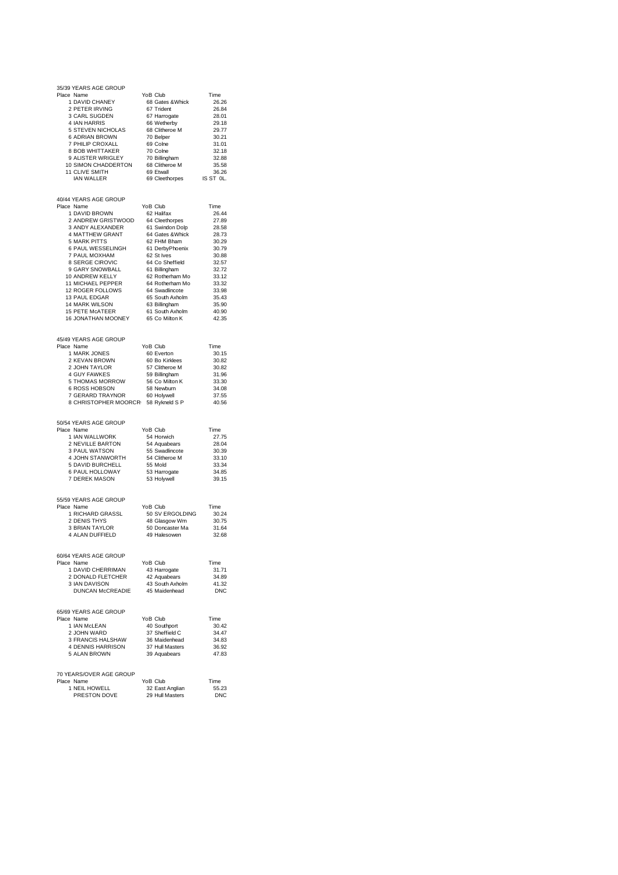| 35/39 YEARS AGE GROUP                                                                                                                                                                                                                                                                                                                                                                                                                                                           |                                                                                       |                |
|---------------------------------------------------------------------------------------------------------------------------------------------------------------------------------------------------------------------------------------------------------------------------------------------------------------------------------------------------------------------------------------------------------------------------------------------------------------------------------|---------------------------------------------------------------------------------------|----------------|
| Place Name                                                                                                                                                                                                                                                                                                                                                                                                                                                                      | YoB Club                                                                              | Time           |
| 1 DAVID CHANEY<br>Bridge<br>1 DAVID CHANE 1<br>2 PETER IRVING<br>1 SUGDEN                                                                                                                                                                                                                                                                                                                                                                                                       | 68 Gates & Whick<br>67 Trident                                                        | 26.26<br>26.84 |
|                                                                                                                                                                                                                                                                                                                                                                                                                                                                                 | 67 Harrogate                                                                          | 28.01          |
| 3 CARL COOLEY<br>4 IAN HARRIS 66 Wetherby<br>5 STEVEN NICHOLAS 68 Clitherce M<br>6 ADRIAN BROWN 70 Belper<br>7 PHILIP CROXALL 69 Cohe<br>8 BOB WHITTAKER 70 Cohe<br>9 ALISTER WRIGLEY 70 Billingham                                                                                                                                                                                                                                                                             |                                                                                       | 29.18          |
|                                                                                                                                                                                                                                                                                                                                                                                                                                                                                 |                                                                                       | 29.77          |
|                                                                                                                                                                                                                                                                                                                                                                                                                                                                                 |                                                                                       | 30.21          |
|                                                                                                                                                                                                                                                                                                                                                                                                                                                                                 |                                                                                       | 31.01<br>32.18 |
|                                                                                                                                                                                                                                                                                                                                                                                                                                                                                 |                                                                                       | 32.88          |
|                                                                                                                                                                                                                                                                                                                                                                                                                                                                                 |                                                                                       | 35.58          |
| 8 BOB WHITTAKER<br>9 ALISTER WRIGLEY 70 Colne<br>10 SIMON CHADDERTON 68 Clitheroe M<br>11 CLIVE SMITH 69 Etwall                                                                                                                                                                                                                                                                                                                                                                 |                                                                                       | 36.26          |
| IAN WALLER                                                                                                                                                                                                                                                                                                                                                                                                                                                                      | 69 Cleethorpes IS ST OL.                                                              |                |
|                                                                                                                                                                                                                                                                                                                                                                                                                                                                                 |                                                                                       |                |
| 40/44 YEARS AGE GROUP<br>Place Name                                                                                                                                                                                                                                                                                                                                                                                                                                             | YoB Club                                                                              | Time           |
|                                                                                                                                                                                                                                                                                                                                                                                                                                                                                 |                                                                                       | 26.44          |
| 1 DAVID BROWN<br>2 ANDREW GRISTWOOD 64 Cleethorpes<br>3 ANDY ALEXANDER 61 Swindon Dolp<br>1 MATTHEW GRANT 64 Gates & Whick                                                                                                                                                                                                                                                                                                                                                      |                                                                                       | 27.89          |
|                                                                                                                                                                                                                                                                                                                                                                                                                                                                                 |                                                                                       | 28.58          |
|                                                                                                                                                                                                                                                                                                                                                                                                                                                                                 |                                                                                       | 28.73          |
| <b>5 MARK PITTS</b>                                                                                                                                                                                                                                                                                                                                                                                                                                                             | 62 FHM Bham                                                                           | 30.29          |
| 6 PAUL WESSELINGH 61 DerbyPhoenix<br>7 PAUL MOXHAM                                                                                                                                                                                                                                                                                                                                                                                                                              | 62 St Ives                                                                            | 30.79<br>30.88 |
|                                                                                                                                                                                                                                                                                                                                                                                                                                                                                 |                                                                                       | 32.57          |
|                                                                                                                                                                                                                                                                                                                                                                                                                                                                                 |                                                                                       | 32.72          |
|                                                                                                                                                                                                                                                                                                                                                                                                                                                                                 |                                                                                       | 33.12          |
|                                                                                                                                                                                                                                                                                                                                                                                                                                                                                 |                                                                                       | 33.32          |
|                                                                                                                                                                                                                                                                                                                                                                                                                                                                                 |                                                                                       | 33.98          |
|                                                                                                                                                                                                                                                                                                                                                                                                                                                                                 |                                                                                       | 35.43          |
| $\begin{tabular}{lllllllllll} \multicolumn{2}{l}{\textbf{8} & \textbf{SERGE CIROVIC} & $\textbf{64} \text{ Co} \text{ Sheffield}\\ \textbf{9} \text{ GARY SNOWBALL} & $\textbf{61} \text{ Bill lingham} \\ \textbf{10} \text{ ANDREW KEILY} & $\textbf{62} \text{ Rohferham Mo}\\ \textbf{11} \text{ MICHAEL PEPPER} & $\textbf{64} \text{ Rohferham Mo}\\ \textbf{12} \text{ ROGER FOLLOWS} & $\textbf{64} \text{ Swadlincode}\\ \textbf{13} \text{ PAUL EDBGAR} & $\textbf{6$ |                                                                                       | 35.90<br>40.90 |
| 15 PETE MCATEER 61 South Axholm<br>16 JONATHAN MOONEY 65 Co Milton K                                                                                                                                                                                                                                                                                                                                                                                                            |                                                                                       | 42.35          |
|                                                                                                                                                                                                                                                                                                                                                                                                                                                                                 |                                                                                       |                |
| 45/49 YEARS AGE GROUP                                                                                                                                                                                                                                                                                                                                                                                                                                                           |                                                                                       |                |
| Place Name                                                                                                                                                                                                                                                                                                                                                                                                                                                                      | YoB Club                                                                              | Time           |
| 1 MARK JONES                                                                                                                                                                                                                                                                                                                                                                                                                                                                    |                                                                                       | 30.15          |
| 2 KEVAN BROWN<br>2 JOHN TAYLOR<br>4 GUY FAWKES                                                                                                                                                                                                                                                                                                                                                                                                                                  | rub Club<br>60 Everton<br>60 Bo Kirklees<br>57 Clitheroe M<br>50 Billiamhers          | 30.82<br>30.82 |
|                                                                                                                                                                                                                                                                                                                                                                                                                                                                                 |                                                                                       | 31.96          |
|                                                                                                                                                                                                                                                                                                                                                                                                                                                                                 |                                                                                       | 33.30          |
|                                                                                                                                                                                                                                                                                                                                                                                                                                                                                 |                                                                                       | 34.08          |
| 4 GUY FAWKES<br>5 THOMAS MORROW 56 Co Milton K<br>6 ROSS HOBSON 58 Newburn<br>7 GERARD TRAYNOR 60 Holywell<br>8 CUBLETON THAYNOR 60 Holywell                                                                                                                                                                                                                                                                                                                                    |                                                                                       | 37.55          |
| 8 CHRISTOPHER MOORCR 58 Rykneld S P                                                                                                                                                                                                                                                                                                                                                                                                                                             |                                                                                       | 40.56          |
| 50/54 YEARS AGE GROUP                                                                                                                                                                                                                                                                                                                                                                                                                                                           |                                                                                       |                |
| Place Name                                                                                                                                                                                                                                                                                                                                                                                                                                                                      |                                                                                       | Time           |
| 1 IAN WALLWORK                                                                                                                                                                                                                                                                                                                                                                                                                                                                  |                                                                                       | 27.75          |
| 2 NEVILLE BARTON                                                                                                                                                                                                                                                                                                                                                                                                                                                                |                                                                                       | 28.04          |
| 3 PAUL WATSON                                                                                                                                                                                                                                                                                                                                                                                                                                                                   |                                                                                       | 30.39          |
| 4 JOHN STANWORTH<br>5 DAVID BURCHELL                                                                                                                                                                                                                                                                                                                                                                                                                                            |                                                                                       | 33.10          |
| 6 PAUL HOLLOWAY                                                                                                                                                                                                                                                                                                                                                                                                                                                                 | ous Club<br>54 Horwich<br>54 Aquabears<br>55 Swadlincote<br>54 Clitheroe M<br>53 Horm | 33.34<br>34.85 |
| 7 DEREK MASON                                                                                                                                                                                                                                                                                                                                                                                                                                                                   | 53 Harrogate<br>53 Holywell                                                           | 39.15          |
|                                                                                                                                                                                                                                                                                                                                                                                                                                                                                 |                                                                                       |                |
| 55/59 YEARS AGE GROUP                                                                                                                                                                                                                                                                                                                                                                                                                                                           |                                                                                       |                |
| Place Name<br>e ivanic<br>1 RICHARD GRASSL                                                                                                                                                                                                                                                                                                                                                                                                                                      | YoB Club                                                                              | Time<br>30.24  |
| 2 DENIS THYS                                                                                                                                                                                                                                                                                                                                                                                                                                                                    |                                                                                       | 30.75          |
| 3 BRIAN TAYLOR                                                                                                                                                                                                                                                                                                                                                                                                                                                                  | 50 SV ERGOLDING<br>48 Glasgow Wm<br>50 Doncaster Ma<br>49 Halesowen                   | 31.64          |
| 4 ALAN DUFFIELD                                                                                                                                                                                                                                                                                                                                                                                                                                                                 |                                                                                       | 32.68          |
|                                                                                                                                                                                                                                                                                                                                                                                                                                                                                 |                                                                                       |                |
| 60/64 YEARS AGE GROUP<br>Place Name                                                                                                                                                                                                                                                                                                                                                                                                                                             | YoB Club                                                                              | Time           |
| 1 DAVID CHERRIMAN                                                                                                                                                                                                                                                                                                                                                                                                                                                               | 43 Harrogate                                                                          | 31.71          |
| 2 DONALD FLETCHER                                                                                                                                                                                                                                                                                                                                                                                                                                                               | 42 Aquabears                                                                          | 34.89          |
| 3 IAN DAVISON                                                                                                                                                                                                                                                                                                                                                                                                                                                                   | 43 South Axholm                                                                       | 41.32          |
| DUNCAN McCREADIE                                                                                                                                                                                                                                                                                                                                                                                                                                                                | 45 Maidenhead                                                                         | <b>DNC</b>     |
|                                                                                                                                                                                                                                                                                                                                                                                                                                                                                 |                                                                                       |                |
| 65/69 YEARS AGE GROUP<br>Place Name                                                                                                                                                                                                                                                                                                                                                                                                                                             | YoB Club                                                                              | Time           |
| 1 IAN McLEAN                                                                                                                                                                                                                                                                                                                                                                                                                                                                    | 40 Southport                                                                          | 30.42          |
| 2 JOHN WARD                                                                                                                                                                                                                                                                                                                                                                                                                                                                     | 37 Sheffield C                                                                        | 34.47          |
| 3 FRANCIS HALSHAW                                                                                                                                                                                                                                                                                                                                                                                                                                                               | 36 Maidenhead                                                                         | 34.83          |
| 4 DENNIS HARRISON                                                                                                                                                                                                                                                                                                                                                                                                                                                               | 37 Hull Masters                                                                       | 36.92          |
| 5 ALAN BROWN                                                                                                                                                                                                                                                                                                                                                                                                                                                                    | 39 Aquabears                                                                          | 47.83          |
|                                                                                                                                                                                                                                                                                                                                                                                                                                                                                 |                                                                                       |                |
| 70 YEARS/OVER AGE GROUP<br>Place Name                                                                                                                                                                                                                                                                                                                                                                                                                                           | YoB Club                                                                              | Time           |
| 1 NEIL HOWELL                                                                                                                                                                                                                                                                                                                                                                                                                                                                   | 32 East Anglian                                                                       | 55.23          |
| PRESTON DOVE                                                                                                                                                                                                                                                                                                                                                                                                                                                                    | 29 Hull Masters                                                                       | <b>DNC</b>     |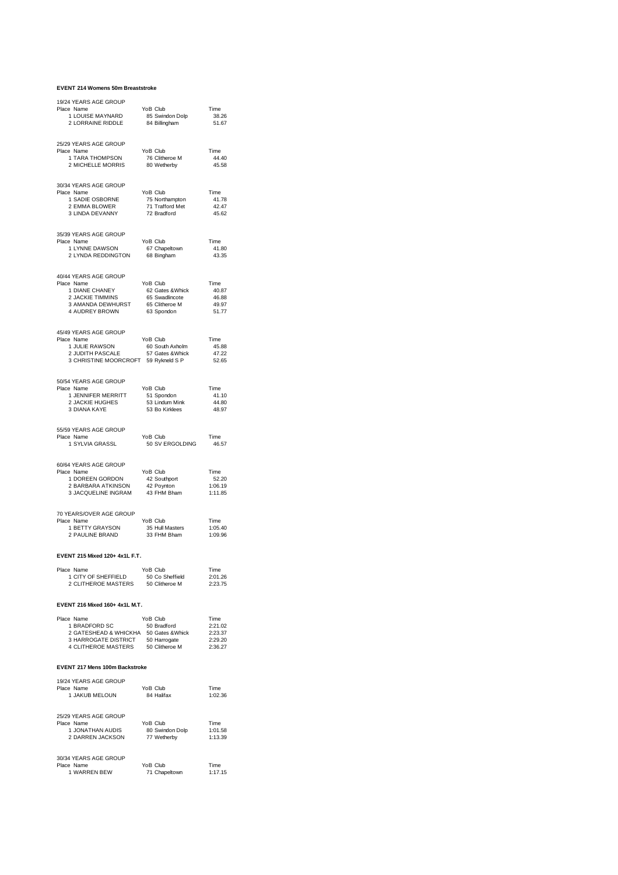#### **EVENT 214 Womens 50m Breaststroke**

| 19/24 YEARS AGE GROUP                                                                                                                                  |                                                            |                    |
|--------------------------------------------------------------------------------------------------------------------------------------------------------|------------------------------------------------------------|--------------------|
| Place Name                                                                                                                                             | YoB Club                                                   | Time<br>38.26      |
| 1 LOUISE MAYNARD<br>2 LORRAINE RIDDLE                                                                                                                  | 85 Swindon Dolp<br>84 Billingham                           | 51.67              |
|                                                                                                                                                        |                                                            |                    |
| 25/29 YEARS AGE GROUP<br>Place Name                                                                                                                    | YoB Club                                                   | Time               |
| 1 TARA THOMPSON                                                                                                                                        | 76 Clitheroe M<br>80 Wetherby                              | 44.40              |
| 2 MICHELLE MORRIS                                                                                                                                      |                                                            | 45.58              |
| 30/34 YEARS AGE GROUP                                                                                                                                  |                                                            |                    |
| Place Name                                                                                                                                             | YoB Club                                                   | Time               |
| 1 SADIE OSBORNE<br>2 EMMA BLOWER                                                                                                                       | 75 Northampton<br>71 Trafford Met                          | 41.78<br>42.47     |
| 3 LINDA DEVANNY                                                                                                                                        | 72 Bradford                                                | 45.62              |
|                                                                                                                                                        |                                                            |                    |
| 35/39 YEARS AGE GROUP<br>Place Name                                                                                                                    | YoB Club                                                   | Time               |
| 1 LYNNE DAWSON                                                                                                                                         | 67 Chapeltown<br>68 Bingham                                | 41.80              |
| 2 LYNDA REDDINGTON                                                                                                                                     |                                                            | 43.35              |
|                                                                                                                                                        |                                                            |                    |
| 40/44 YEARS AGE GROUP<br>Place Name                                                                                                                    | YoB Club                                                   | Time               |
| P TRIME CHANEY<br>2 JACKIE TIMMINS 65 Swadincote<br>3 AMANDA DEWHURST 65 Cliteroe M<br>4 AMANDA DEWHURST 65 Cliteroe M<br>4 AMANDA DEWHURST 63 Sporton |                                                            | 40.87              |
|                                                                                                                                                        |                                                            | 46.88<br>49.97     |
| 4 AUDREY BROWN                                                                                                                                         | 63 Spondon                                                 | 51.77              |
|                                                                                                                                                        |                                                            |                    |
| 45/49 YEARS AGE GROUP<br>Place Name                                                                                                                    | YoB Club                                                   | Time               |
| 1 JULIE RAWSON                                                                                                                                         |                                                            | 45.88              |
| 2 JUDITH PASCALE                                                                                                                                       |                                                            | 47.22<br>52.65     |
| owner RAWSON<br>2 JUDITH PASCALE 67 Soluth Axholm<br>3 CHRISTINE MOORCROFT 59 Rykneld SP                                                               |                                                            |                    |
| 50/54 YEARS AGE GROUP                                                                                                                                  |                                                            |                    |
| Place Name                                                                                                                                             | YoB Club                                                   | Time               |
| 1 JENNIFER MERRITT<br>2 JACKIE HUGHES                                                                                                                  | FOB Club<br>51 Spondon<br>53 Lindum Mink<br>53 Bo Kirklees | 41.10<br>44.80     |
| 3 DIANA KAYE                                                                                                                                           |                                                            | 48.97              |
|                                                                                                                                                        |                                                            |                    |
| 55/59 YEARS AGE GROUP<br>Place Name                                                                                                                    | YoB Club                                                   | Time               |
|                                                                                                                                                        |                                                            |                    |
| 1 SYLVIA GRASSL                                                                                                                                        | 50 SV ERGOLDING                                            | 46.57              |
|                                                                                                                                                        |                                                            |                    |
| 60/64 YEARS AGE GROUP                                                                                                                                  |                                                            |                    |
| Place Name<br>1 DOREEN GORDON                                                                                                                          | YoB Club                                                   | Time<br>52.20      |
| 2 BARBARA ATKINSON                                                                                                                                     | 42 Southport<br>42 Poynton                                 | 1:06.19            |
| 3 JACQUELINE INGRAM                                                                                                                                    | 43 FHM Bham                                                | 1:11.85            |
| 70 YEARS/OVER AGE GROUP                                                                                                                                |                                                            |                    |
| Place Name                                                                                                                                             | YoB Club                                                   | Time               |
| 1 BETTY GRAYSON<br>2 PAULINE BRAND                                                                                                                     | 35 Hull Masters<br>33 FHM Bham                             | 1:05.40<br>1:09.96 |
|                                                                                                                                                        |                                                            |                    |
| EVENT 215 Mixed 120+ 4x1L F.T.                                                                                                                         |                                                            |                    |
| Place Name                                                                                                                                             | YoB Club                                                   | Time               |
| 1 CITY OF SHEFFIELD                                                                                                                                    |                                                            | 2:01.26            |
| 1 CITY OF SHEFFIELD 50 Co Sheffield<br>2 CLITHEROE MASTERS 50 Clitheroe M                                                                              |                                                            | 2:23.75            |
|                                                                                                                                                        |                                                            |                    |
| EVENT 216 Mixed 160+ 4x1L M.T.                                                                                                                         |                                                            |                    |
| Place Name<br>1 BRADFORD SC                                                                                                                            | YoB Club<br>50 Bradford                                    | Time<br>2:21.02    |
| 2 GATESHEAD & WHICKHA 50 Gates & Whick 2:23.37                                                                                                         |                                                            |                    |
| 3 HARROGATE DISTRICT 50 Harrogate 2:29.20<br>4 CLITHEROE MASTERS 50 Clitheroe M 2:36.27                                                                |                                                            | 2:29.20            |
|                                                                                                                                                        |                                                            |                    |
| EVENT 217 Mens 100m Backstroke                                                                                                                         |                                                            |                    |
| 19/24 YEARS AGE GROUP                                                                                                                                  |                                                            |                    |
| Place Name                                                                                                                                             | YoB Club                                                   | Time               |
| 1 JAKUB MELOUN                                                                                                                                         | 84 Halifax                                                 | 1:02.36            |
| 25/29 YEARS AGE GROUP                                                                                                                                  |                                                            |                    |
| Place Name                                                                                                                                             | YoB Club                                                   | Time               |
| 1 JONATHAN AUDIS<br>2 DARREN JACKSON                                                                                                                   | 80 Swindon Dolp<br>77 Wetherby                             | 1:01.58<br>1:13.39 |
|                                                                                                                                                        |                                                            |                    |
| 30/34 YEARS AGE GROUP                                                                                                                                  |                                                            |                    |
| Place Name<br>1 WARREN BEW                                                                                                                             | YoB Club<br>71 Chapeltown                                  | Time<br>1:17.15    |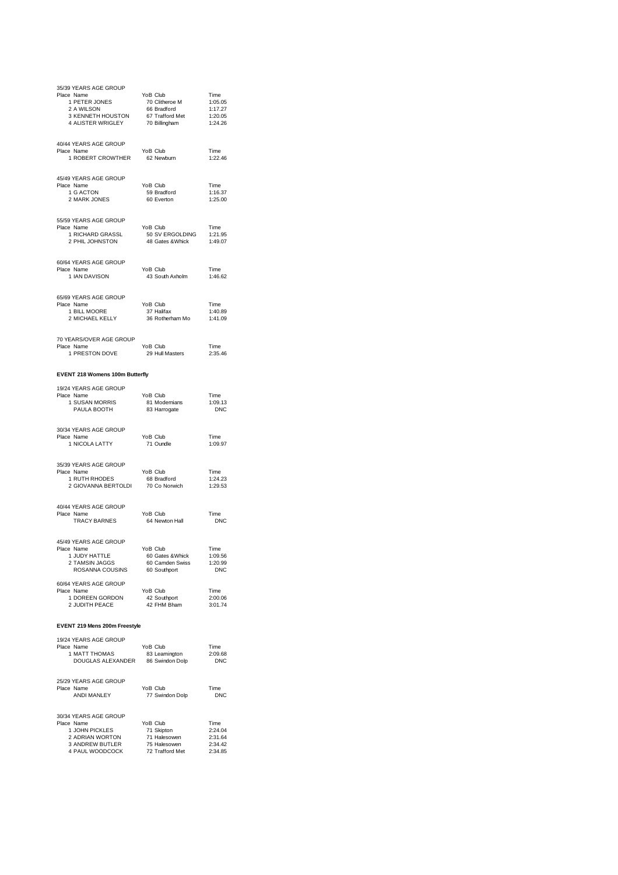| 35/39 YEARS AGE GROUP<br>Place Name<br>r Filme<br>2 A WILSON 2 A WILSON 2 A WILSON 4 1:05.05<br>3 KENNETH HOUSTON 66 Bradford 4 1:17.27<br>4 ALISTER WRIGLEY 70 Billingham |                                                                |                       |
|----------------------------------------------------------------------------------------------------------------------------------------------------------------------------|----------------------------------------------------------------|-----------------------|
|                                                                                                                                                                            |                                                                |                       |
|                                                                                                                                                                            |                                                                |                       |
|                                                                                                                                                                            |                                                                |                       |
| 40/44 YEARS AGE GROUP                                                                                                                                                      |                                                                |                       |
| Place Name<br>1 ROBERT CROWTHER                                                                                                                                            | YoB Club<br>62 Newburn                                         | Time<br>1:22.46       |
|                                                                                                                                                                            |                                                                |                       |
| 45/49 YEARS AGE GROUP<br>Place Name                                                                                                                                        | YoB Club                                                       |                       |
| $\frac{1}{2}$ G ACTON                                                                                                                                                      | 59 Bradford<br>60 Everton                                      | Time<br>1:16.37       |
| 2 MARK JONES                                                                                                                                                               |                                                                | 1:25.00               |
| 55/59 YEARS AGE GROUP                                                                                                                                                      |                                                                |                       |
| Place Name                                                                                                                                                                 | YoB Club                                                       | Time                  |
| 1 RICHARD GRASSL<br>2 PHIL JOHNSTON                                                                                                                                        | 1 Ime<br>50 SV ERGOLDING 1:21.95<br>48 Gates & Whick 1:49.07   |                       |
|                                                                                                                                                                            |                                                                |                       |
| 60/64 YEARS AGE GROUP                                                                                                                                                      |                                                                |                       |
| Place Name<br>1 IAN DAVISON                                                                                                                                                | YoB Club<br>43 South Axholm                                    | Time<br>1:46.62       |
|                                                                                                                                                                            |                                                                |                       |
| 65/69 YEARS AGE GROUP                                                                                                                                                      |                                                                |                       |
| $1$ BILL MOORE<br>Place Name                                                                                                                                               | YoB Club<br>37 Halifax                                         | Time<br>1:40.89       |
| 2 MICHAEL KELLY                                                                                                                                                            | 36 Rotherham Mo                                                | 1:41.09               |
|                                                                                                                                                                            |                                                                |                       |
| 70 YEARS/OVER AGE GROUP<br>Place Name                                                                                                                                      | YoB Club                                                       | Time                  |
| e Name<br>1 PRESTON DOVE                                                                                                                                                   | 29 Hull Masters                                                | 2:35.46               |
| EVENT 218 Womens 100m Butterfly                                                                                                                                            |                                                                |                       |
|                                                                                                                                                                            |                                                                |                       |
| 19/24 YEARS AGE GROUP<br>Place Name                                                                                                                                        | YoB Club                                                       | Time                  |
| e Name<br>1 SUSAN MORRIS<br>PAULA BOOTH<br>PAULA BOOTH                                                                                                                     | 81 Modernians<br>83 Harrogate                                  | 1:09.13<br><b>DNC</b> |
|                                                                                                                                                                            |                                                                |                       |
| 30/34 YEARS AGE GROUP<br>Place Name                                                                                                                                        |                                                                |                       |
| Place Name<br>1 NICOLA LATTY                                                                                                                                               | YoB Club<br>71 Oundle                                          | Time<br>1:09.97       |
|                                                                                                                                                                            |                                                                |                       |
| 35/39 YEARS AGE GROUP                                                                                                                                                      |                                                                |                       |
| Place Name<br>1 RUTH RHODES                                                                                                                                                | YoB Club<br>68 Bradford<br>70 Co Norwich                       | Time<br>1:24.23       |
| 2 GIOVANNA BERTOLDI                                                                                                                                                        |                                                                | 1:29.53               |
| 40/44 YEARS AGE GROUP                                                                                                                                                      |                                                                |                       |
| Place Name                                                                                                                                                                 | YoB Club                                                       | Time                  |
| <b>TRACY BARNES</b>                                                                                                                                                        | 64 Newton Hall                                                 | <b>DNC</b>            |
| 45/49 YEARS AGE GROUP                                                                                                                                                      |                                                                |                       |
| Place Name                                                                                                                                                                 | YoB Club                                                       | Time                  |
| 1 JUDY HATTLE<br>2 TAMSIN JAGGS                                                                                                                                            | 1.09.56<br>60 Gates & Whick 1.09.56<br>60 Camden Swiss 1.20.99 |                       |
| TAMSIN JAGGS 60 Camden S<br>ROSANNA COUSINS 60 Southport                                                                                                                   |                                                                | <b>DNC</b>            |
| 60/64 YEARS AGE GROUP                                                                                                                                                      |                                                                |                       |
| Place Name<br>1 DOREEN GORDON                                                                                                                                              | YoB Club                                                       | Time<br>2:00.06       |
| 2 JUDITH PEACE                                                                                                                                                             | 42 Southport<br>42 FHM Bham                                    | 3:01.74               |
| EVENT 219 Mens 200m Freestyle                                                                                                                                              |                                                                |                       |
|                                                                                                                                                                            |                                                                |                       |
| 19/24 YEARS AGE GROUP<br>Place Name                                                                                                                                        | YoB Club                                                       | Time                  |
| 1 MATT THOMAS<br>Name TOB Club<br>MATT THOMAS 83 Leamington<br>DOUGLAS ALEXANDER 86 Swindon Dolp                                                                           |                                                                | 2:09.68<br>DNC        |
|                                                                                                                                                                            |                                                                |                       |
| 25/29 YEARS AGE GROUP                                                                                                                                                      |                                                                |                       |
| Place Name<br>ANDI MANLEY                                                                                                                                                  | YoB Club<br>77 Swindon Dolp                                    | Time<br><b>DNC</b>    |
|                                                                                                                                                                            |                                                                |                       |
| 30/34 YEARS AGE GROUP                                                                                                                                                      |                                                                |                       |
| Place Name<br>1 JOHN PICKLES                                                                                                                                               | YoB Club<br>71 Skipton                                         | Time<br>2:24.04       |
| 2 ADRIAN WORTON                                                                                                                                                            |                                                                |                       |
| 3 ANDREW BUTLER                                                                                                                                                            | 71 Halesowen<br>75 Halesowen                                   | 2:31.64<br>2:34.42    |